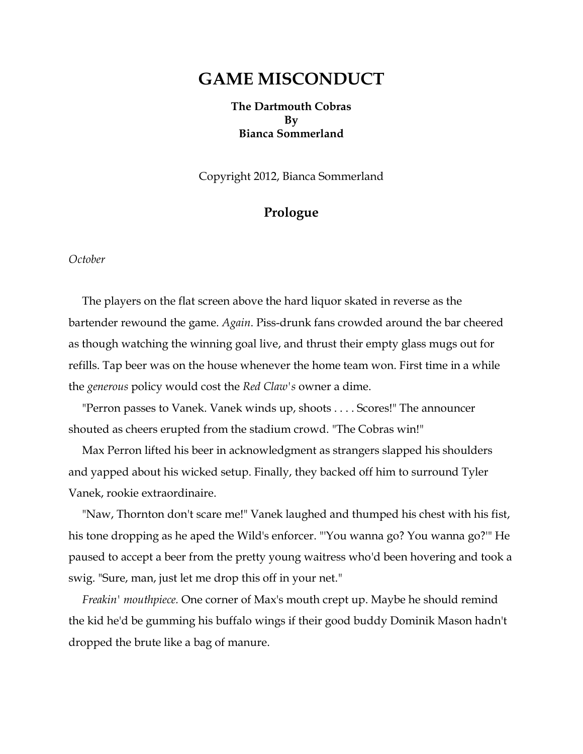# **GAME MISCONDUCT**

**The Dartmouth Cobras By Bianca Sommerland**

Copyright 2012, Bianca Sommerland

# **Prologue**

*October*

The players on the flat screen above the hard liquor skated in reverse as the bartender rewound the game. *Again*. Piss-drunk fans crowded around the bar cheered as though watching the winning goal live, and thrust their empty glass mugs out for refills. Tap beer was on the house whenever the home team won. First time in a while the *generous* policy would cost the *Red Claw's* owner a dime.

"Perron passes to Vanek. Vanek winds up, shoots . . . . Scores!" The announcer shouted as cheers erupted from the stadium crowd. "The Cobras win!"

Max Perron lifted his beer in acknowledgment as strangers slapped his shoulders and yapped about his wicked setup. Finally, they backed off him to surround Tyler Vanek, rookie extraordinaire.

"Naw, Thornton don't scare me!" Vanek laughed and thumped his chest with his fist, his tone dropping as he aped the Wild's enforcer. "'You wanna go? You wanna go?'" He paused to accept a beer from the pretty young waitress who'd been hovering and took a swig. "Sure, man, just let me drop this off in your net."

*Freakin' mouthpiece.* One corner of Max's mouth crept up. Maybe he should remind the kid he'd be gumming his buffalo wings if their good buddy Dominik Mason hadn't dropped the brute like a bag of manure.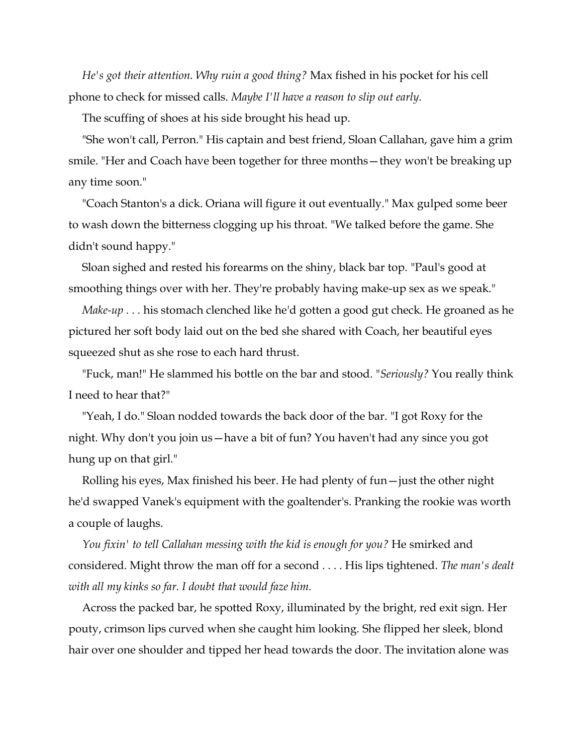*He's got their attention. Why ruin a good thing?* Max fished in his pocket for his cell phone to check for missed calls. *Maybe I'll have a reason to slip out early.*

The scuffing of shoes at his side brought his head up.

"She won't call, Perron." His captain and best friend, Sloan Callahan, gave him a grim smile. "Her and Coach have been together for three months—they won't be breaking up any time soon."

"Coach Stanton's a dick. Oriana will figure it out eventually." Max gulped some beer to wash down the bitterness clogging up his throat. "We talked before the game. She didn't sound happy."

Sloan sighed and rested his forearms on the shiny, black bar top. "Paul's good at smoothing things over with her. They're probably having make-up sex as we speak."

*Make-up* . . . his stomach clenched like he'd gotten a good gut check. He groaned as he pictured her soft body laid out on the bed she shared with Coach, her beautiful eyes squeezed shut as she rose to each hard thrust.

"Fuck, man!" He slammed his bottle on the bar and stood. "*Seriously?* You really think I need to hear that?"

"Yeah, I do." Sloan nodded towards the back door of the bar. "I got Roxy for the night. Why don't you join us—have a bit of fun? You haven't had any since you got hung up on that girl."

Rolling his eyes, Max finished his beer. He had plenty of fun—just the other night he'd swapped Vanek's equipment with the goaltender's. Pranking the rookie was worth a couple of laughs.

*You fixin' to tell Callahan messing with the kid is enough for you?* He smirked and considered. Might throw the man off for a second . . . . His lips tightened. *The man's dealt with all my kinks so far. I doubt that would faze him.*

Across the packed bar, he spotted Roxy, illuminated by the bright, red exit sign. Her pouty, crimson lips curved when she caught him looking. She flipped her sleek, blond hair over one shoulder and tipped her head towards the door. The invitation alone was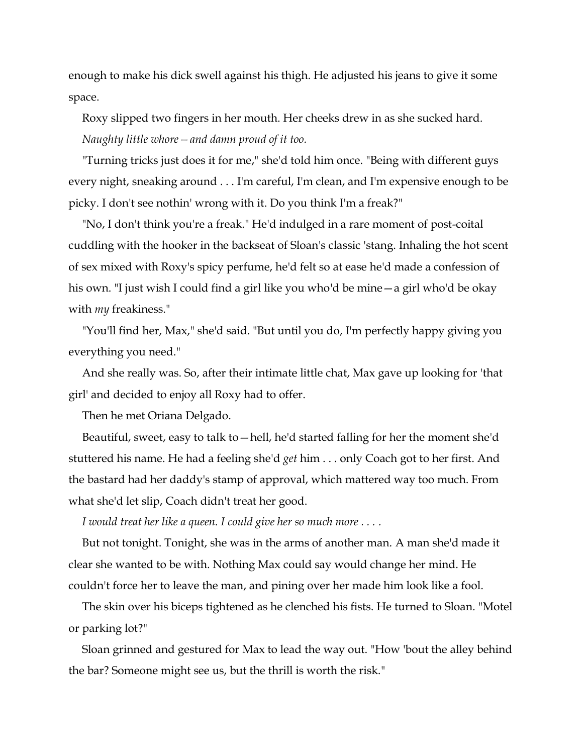enough to make his dick swell against his thigh. He adjusted his jeans to give it some space.

Roxy slipped two fingers in her mouth. Her cheeks drew in as she sucked hard. *Naughty little whore—and damn proud of it too.*

"Turning tricks just does it for me," she'd told him once. "Being with different guys every night, sneaking around . . . I'm careful, I'm clean, and I'm expensive enough to be picky. I don't see nothin' wrong with it. Do you think I'm a freak?"

"No, I don't think you're a freak." He'd indulged in a rare moment of post-coital cuddling with the hooker in the backseat of Sloan's classic 'stang. Inhaling the hot scent of sex mixed with Roxy's spicy perfume, he'd felt so at ease he'd made a confession of his own. "I just wish I could find a girl like you who'd be mine—a girl who'd be okay with *my* freakiness."

"You'll find her, Max," she'd said. "But until you do, I'm perfectly happy giving you everything you need."

And she really was. So, after their intimate little chat, Max gave up looking for 'that girl' and decided to enjoy all Roxy had to offer.

Then he met Oriana Delgado.

Beautiful, sweet, easy to talk to—hell, he'd started falling for her the moment she'd stuttered his name. He had a feeling she'd *get* him . . . only Coach got to her first. And the bastard had her daddy's stamp of approval, which mattered way too much. From what she'd let slip, Coach didn't treat her good.

*I would treat her like a queen. I could give her so much more . . . .*

But not tonight. Tonight, she was in the arms of another man. A man she'd made it clear she wanted to be with. Nothing Max could say would change her mind. He couldn't force her to leave the man, and pining over her made him look like a fool.

The skin over his biceps tightened as he clenched his fists. He turned to Sloan. "Motel or parking lot?"

Sloan grinned and gestured for Max to lead the way out. "How 'bout the alley behind the bar? Someone might see us, but the thrill is worth the risk."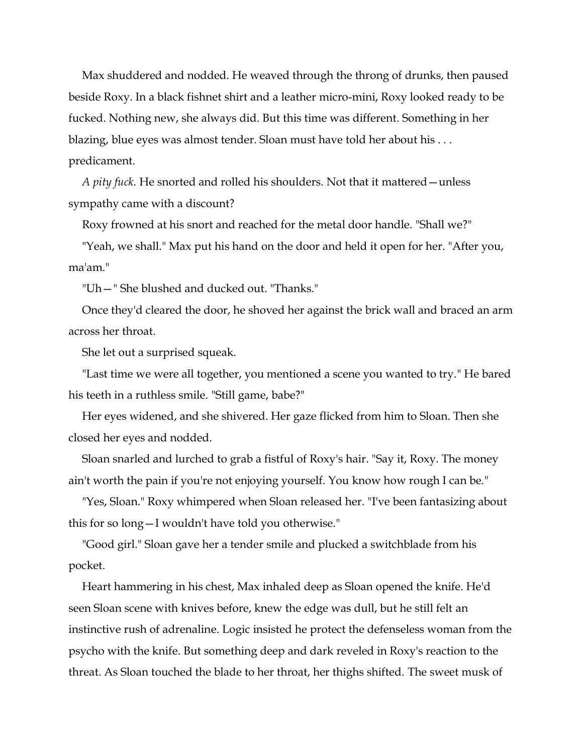Max shuddered and nodded. He weaved through the throng of drunks, then paused beside Roxy. In a black fishnet shirt and a leather micro-mini, Roxy looked ready to be fucked. Nothing new, she always did. But this time was different. Something in her blazing, blue eyes was almost tender. Sloan must have told her about his . . . predicament.

*A pity fuck.* He snorted and rolled his shoulders. Not that it mattered—unless sympathy came with a discount?

Roxy frowned at his snort and reached for the metal door handle. "Shall we?"

"Yeah, we shall." Max put his hand on the door and held it open for her. "After you, ma'am."

"Uh—" She blushed and ducked out. "Thanks."

Once they'd cleared the door, he shoved her against the brick wall and braced an arm across her throat.

She let out a surprised squeak.

"Last time we were all together, you mentioned a scene you wanted to try." He bared his teeth in a ruthless smile. "Still game, babe?"

Her eyes widened, and she shivered. Her gaze flicked from him to Sloan. Then she closed her eyes and nodded.

Sloan snarled and lurched to grab a fistful of Roxy's hair. "Say it, Roxy. The money ain't worth the pain if you're not enjoying yourself. You know how rough I can be."

"Yes, Sloan." Roxy whimpered when Sloan released her. "I've been fantasizing about this for so long—I wouldn't have told you otherwise."

"Good girl." Sloan gave her a tender smile and plucked a switchblade from his pocket.

Heart hammering in his chest, Max inhaled deep as Sloan opened the knife. He'd seen Sloan scene with knives before, knew the edge was dull, but he still felt an instinctive rush of adrenaline. Logic insisted he protect the defenseless woman from the psycho with the knife. But something deep and dark reveled in Roxy's reaction to the threat. As Sloan touched the blade to her throat, her thighs shifted. The sweet musk of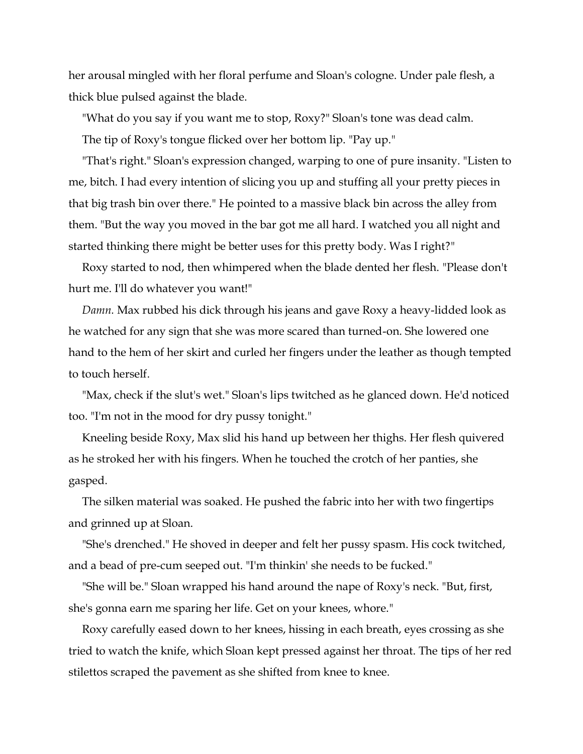her arousal mingled with her floral perfume and Sloan's cologne. Under pale flesh, a thick blue pulsed against the blade.

"What do you say if you want me to stop, Roxy?" Sloan's tone was dead calm. The tip of Roxy's tongue flicked over her bottom lip. "Pay up."

"That's right." Sloan's expression changed, warping to one of pure insanity. "Listen to me, bitch. I had every intention of slicing you up and stuffing all your pretty pieces in that big trash bin over there." He pointed to a massive black bin across the alley from them. "But the way you moved in the bar got me all hard. I watched you all night and started thinking there might be better uses for this pretty body. Was I right?"

Roxy started to nod, then whimpered when the blade dented her flesh. "Please don't hurt me. I'll do whatever you want!"

*Damn.* Max rubbed his dick through his jeans and gave Roxy a heavy-lidded look as he watched for any sign that she was more scared than turned-on. She lowered one hand to the hem of her skirt and curled her fingers under the leather as though tempted to touch herself.

"Max, check if the slut's wet." Sloan's lips twitched as he glanced down. He'd noticed too. "I'm not in the mood for dry pussy tonight."

Kneeling beside Roxy, Max slid his hand up between her thighs. Her flesh quivered as he stroked her with his fingers. When he touched the crotch of her panties, she gasped.

The silken material was soaked. He pushed the fabric into her with two fingertips and grinned up at Sloan.

"She's drenched." He shoved in deeper and felt her pussy spasm. His cock twitched, and a bead of pre-cum seeped out. "I'm thinkin' she needs to be fucked."

"She will be." Sloan wrapped his hand around the nape of Roxy's neck. "But, first, she's gonna earn me sparing her life. Get on your knees, whore."

Roxy carefully eased down to her knees, hissing in each breath, eyes crossing as she tried to watch the knife, which Sloan kept pressed against her throat. The tips of her red stilettos scraped the pavement as she shifted from knee to knee.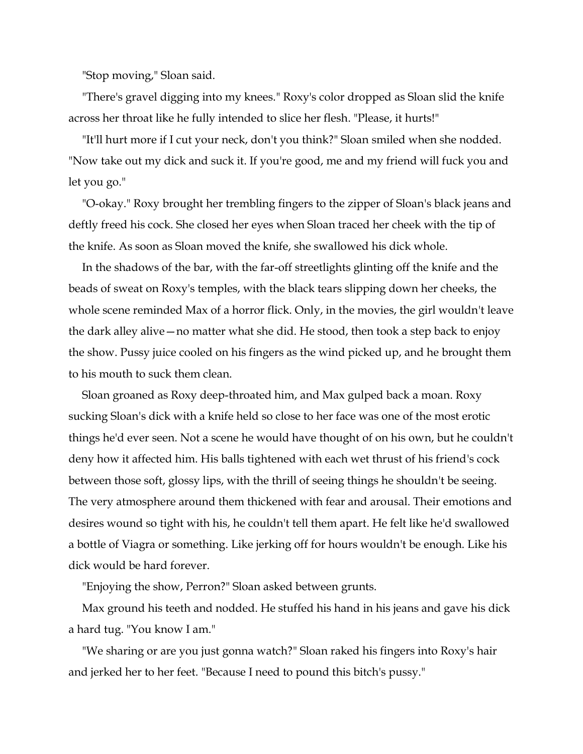"Stop moving," Sloan said.

"There's gravel digging into my knees." Roxy's color dropped as Sloan slid the knife across her throat like he fully intended to slice her flesh. "Please, it hurts!"

"It'll hurt more if I cut your neck, don't you think?" Sloan smiled when she nodded. "Now take out my dick and suck it. If you're good, me and my friend will fuck you and let you go."

"O-okay." Roxy brought her trembling fingers to the zipper of Sloan's black jeans and deftly freed his cock. She closed her eyes when Sloan traced her cheek with the tip of the knife. As soon as Sloan moved the knife, she swallowed his dick whole.

In the shadows of the bar, with the far-off streetlights glinting off the knife and the beads of sweat on Roxy's temples, with the black tears slipping down her cheeks, the whole scene reminded Max of a horror flick. Only, in the movies, the girl wouldn't leave the dark alley alive—no matter what she did. He stood, then took a step back to enjoy the show. Pussy juice cooled on his fingers as the wind picked up, and he brought them to his mouth to suck them clean.

Sloan groaned as Roxy deep-throated him, and Max gulped back a moan. Roxy sucking Sloan's dick with a knife held so close to her face was one of the most erotic things he'd ever seen. Not a scene he would have thought of on his own, but he couldn't deny how it affected him. His balls tightened with each wet thrust of his friend's cock between those soft, glossy lips, with the thrill of seeing things he shouldn't be seeing. The very atmosphere around them thickened with fear and arousal. Their emotions and desires wound so tight with his, he couldn't tell them apart. He felt like he'd swallowed a bottle of Viagra or something. Like jerking off for hours wouldn't be enough. Like his dick would be hard forever.

"Enjoying the show, Perron?" Sloan asked between grunts.

Max ground his teeth and nodded. He stuffed his hand in his jeans and gave his dick a hard tug. "You know I am."

"We sharing or are you just gonna watch?" Sloan raked his fingers into Roxy's hair and jerked her to her feet. "Because I need to pound this bitch's pussy."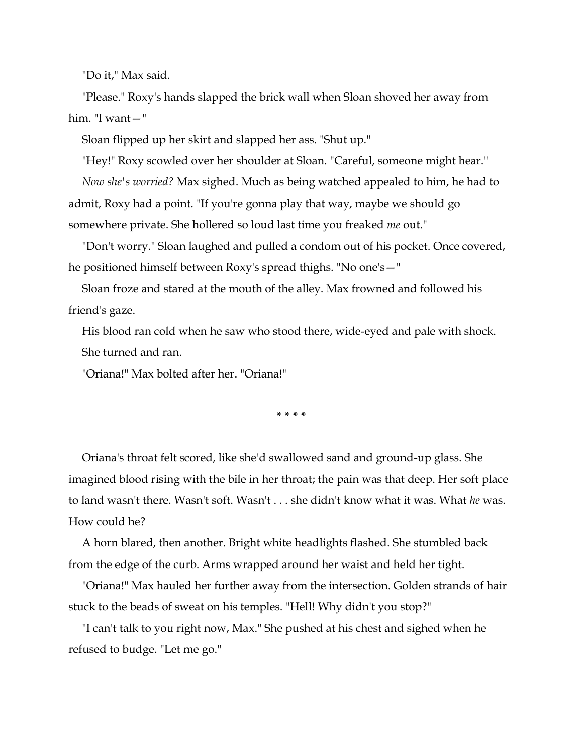"Do it," Max said.

"Please." Roxy's hands slapped the brick wall when Sloan shoved her away from him. "I want—"

Sloan flipped up her skirt and slapped her ass. "Shut up."

"Hey!" Roxy scowled over her shoulder at Sloan. "Careful, someone might hear." *Now she's worried?* Max sighed. Much as being watched appealed to him, he had to admit, Roxy had a point. "If you're gonna play that way, maybe we should go somewhere private. She hollered so loud last time you freaked *me* out."

"Don't worry." Sloan laughed and pulled a condom out of his pocket. Once covered, he positioned himself between Roxy's spread thighs. "No one's—"

Sloan froze and stared at the mouth of the alley. Max frowned and followed his friend's gaze.

His blood ran cold when he saw who stood there, wide-eyed and pale with shock. She turned and ran.

"Oriana!" Max bolted after her. "Oriana!"

**\* \* \* \***

Oriana's throat felt scored, like she'd swallowed sand and ground-up glass. She imagined blood rising with the bile in her throat; the pain was that deep. Her soft place to land wasn't there. Wasn't soft. Wasn't . . . she didn't know what it was. What *he* was. How could he?

A horn blared, then another. Bright white headlights flashed. She stumbled back from the edge of the curb. Arms wrapped around her waist and held her tight.

"Oriana!" Max hauled her further away from the intersection. Golden strands of hair stuck to the beads of sweat on his temples. "Hell! Why didn't you stop?"

"I can't talk to you right now, Max." She pushed at his chest and sighed when he refused to budge. "Let me go."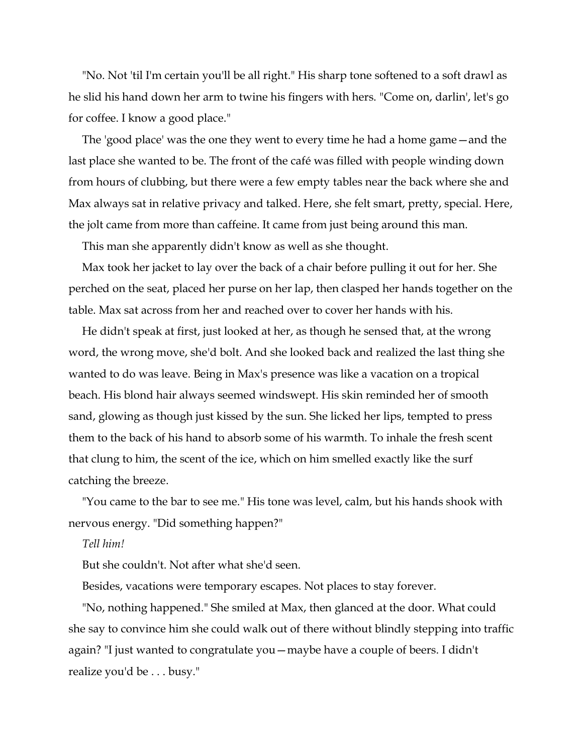"No. Not 'til I'm certain you'll be all right." His sharp tone softened to a soft drawl as he slid his hand down her arm to twine his fingers with hers. "Come on, darlin', let's go for coffee. I know a good place."

The 'good place' was the one they went to every time he had a home game—and the last place she wanted to be. The front of the café was filled with people winding down from hours of clubbing, but there were a few empty tables near the back where she and Max always sat in relative privacy and talked. Here, she felt smart, pretty, special. Here, the jolt came from more than caffeine. It came from just being around this man.

This man she apparently didn't know as well as she thought.

Max took her jacket to lay over the back of a chair before pulling it out for her. She perched on the seat, placed her purse on her lap, then clasped her hands together on the table. Max sat across from her and reached over to cover her hands with his.

He didn't speak at first, just looked at her, as though he sensed that, at the wrong word, the wrong move, she'd bolt. And she looked back and realized the last thing she wanted to do was leave. Being in Max's presence was like a vacation on a tropical beach. His blond hair always seemed windswept. His skin reminded her of smooth sand, glowing as though just kissed by the sun. She licked her lips, tempted to press them to the back of his hand to absorb some of his warmth. To inhale the fresh scent that clung to him, the scent of the ice, which on him smelled exactly like the surf catching the breeze.

"You came to the bar to see me." His tone was level, calm, but his hands shook with nervous energy. "Did something happen?"

#### *Tell him!*

But she couldn't. Not after what she'd seen.

Besides, vacations were temporary escapes. Not places to stay forever.

"No, nothing happened." She smiled at Max, then glanced at the door. What could she say to convince him she could walk out of there without blindly stepping into traffic again? "I just wanted to congratulate you—maybe have a couple of beers. I didn't realize you'd be . . . busy."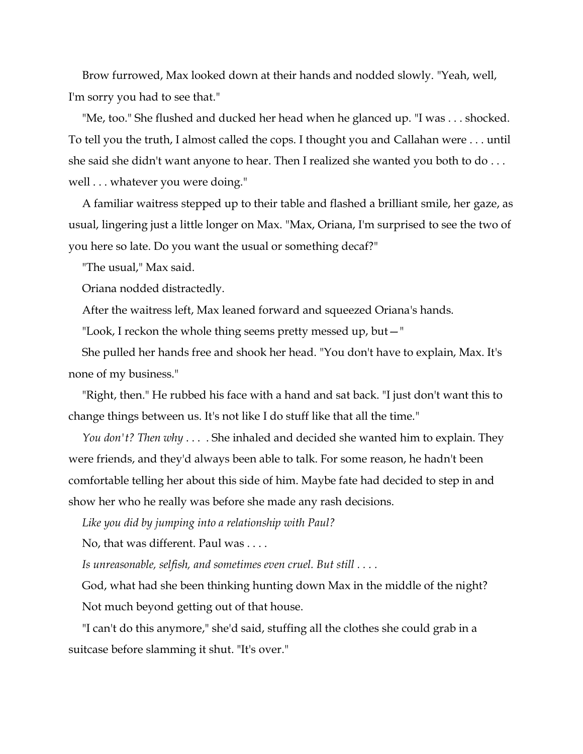Brow furrowed, Max looked down at their hands and nodded slowly. "Yeah, well, I'm sorry you had to see that."

"Me, too." She flushed and ducked her head when he glanced up. "I was . . . shocked. To tell you the truth, I almost called the cops. I thought you and Callahan were . . . until she said she didn't want anyone to hear. Then I realized she wanted you both to do . . . well . . . whatever you were doing."

A familiar waitress stepped up to their table and flashed a brilliant smile, her gaze, as usual, lingering just a little longer on Max. "Max, Oriana, I'm surprised to see the two of you here so late. Do you want the usual or something decaf?"

"The usual," Max said.

Oriana nodded distractedly.

After the waitress left, Max leaned forward and squeezed Oriana's hands.

"Look, I reckon the whole thing seems pretty messed up, but—"

She pulled her hands free and shook her head. "You don't have to explain, Max. It's none of my business."

"Right, then." He rubbed his face with a hand and sat back. "I just don't want this to change things between us. It's not like I do stuff like that all the time."

*You don't? Then why* . . . . She inhaled and decided she wanted him to explain. They were friends, and they'd always been able to talk. For some reason, he hadn't been comfortable telling her about this side of him. Maybe fate had decided to step in and show her who he really was before she made any rash decisions.

*Like you did by jumping into a relationship with Paul?*

No, that was different. Paul was . . . .

*Is unreasonable, selfish, and sometimes even cruel. But still . . . .*

God, what had she been thinking hunting down Max in the middle of the night? Not much beyond getting out of that house.

"I can't do this anymore," she'd said, stuffing all the clothes she could grab in a suitcase before slamming it shut. "It's over."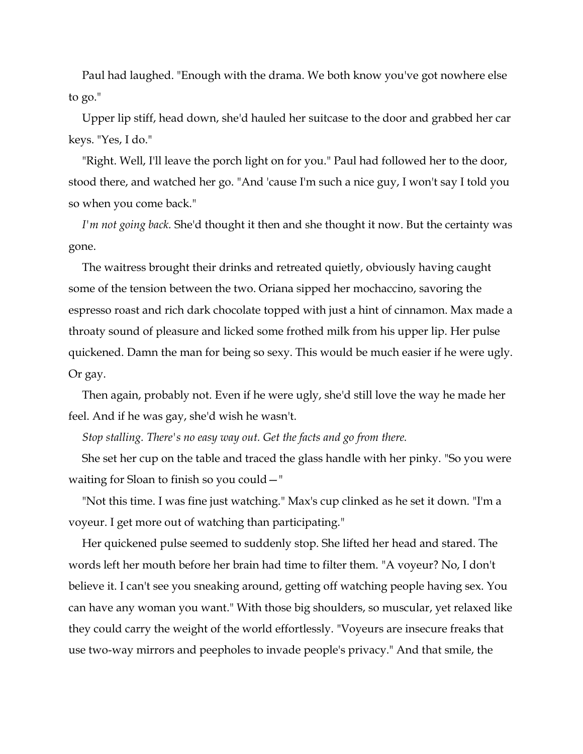Paul had laughed. "Enough with the drama. We both know you've got nowhere else to go."

Upper lip stiff, head down, she'd hauled her suitcase to the door and grabbed her car keys. "Yes, I do."

"Right. Well, I'll leave the porch light on for you." Paul had followed her to the door, stood there, and watched her go. "And 'cause I'm such a nice guy, I won't say I told you so when you come back."

*I'm not going back.* She'd thought it then and she thought it now. But the certainty was gone.

The waitress brought their drinks and retreated quietly, obviously having caught some of the tension between the two. Oriana sipped her mochaccino, savoring the espresso roast and rich dark chocolate topped with just a hint of cinnamon. Max made a throaty sound of pleasure and licked some frothed milk from his upper lip. Her pulse quickened. Damn the man for being so sexy. This would be much easier if he were ugly. Or gay.

Then again, probably not. Even if he were ugly, she'd still love the way he made her feel. And if he was gay, she'd wish he wasn't.

*Stop stalling. There's no easy way out. Get the facts and go from there.*

She set her cup on the table and traced the glass handle with her pinky. "So you were waiting for Sloan to finish so you could—"

"Not this time. I was fine just watching." Max's cup clinked as he set it down. "I'm a voyeur. I get more out of watching than participating."

Her quickened pulse seemed to suddenly stop. She lifted her head and stared. The words left her mouth before her brain had time to filter them. "A voyeur? No, I don't believe it. I can't see you sneaking around, getting off watching people having sex. You can have any woman you want." With those big shoulders, so muscular, yet relaxed like they could carry the weight of the world effortlessly. "Voyeurs are insecure freaks that use two-way mirrors and peepholes to invade people's privacy." And that smile, the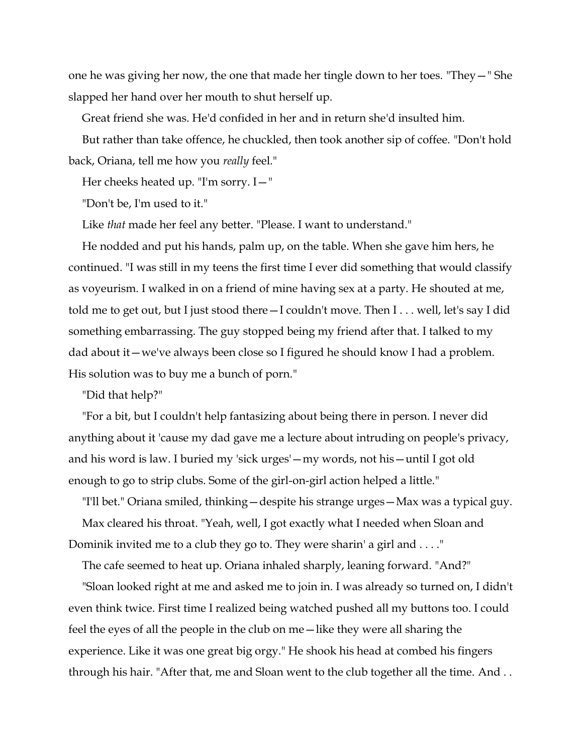one he was giving her now, the one that made her tingle down to her toes. "They—" She slapped her hand over her mouth to shut herself up.

Great friend she was. He'd confided in her and in return she'd insulted him.

But rather than take offence, he chuckled, then took another sip of coffee. "Don't hold back, Oriana, tell me how you *really* feel."

Her cheeks heated up. "I'm sorry. I—"

"Don't be, I'm used to it."

Like *that* made her feel any better. "Please. I want to understand."

He nodded and put his hands, palm up, on the table. When she gave him hers, he continued. "I was still in my teens the first time I ever did something that would classify as voyeurism. I walked in on a friend of mine having sex at a party. He shouted at me, told me to get out, but I just stood there—I couldn't move. Then I . . . well, let's say I did something embarrassing. The guy stopped being my friend after that. I talked to my dad about it—we've always been close so I figured he should know I had a problem. His solution was to buy me a bunch of porn."

"Did that help?"

"For a bit, but I couldn't help fantasizing about being there in person. I never did anything about it 'cause my dad gave me a lecture about intruding on people's privacy, and his word is law. I buried my 'sick urges'—my words, not his—until I got old enough to go to strip clubs. Some of the girl-on-girl action helped a little."

"I'll bet." Oriana smiled, thinking—despite his strange urges—Max was a typical guy. Max cleared his throat. "Yeah, well, I got exactly what I needed when Sloan and Dominik invited me to a club they go to. They were sharin' a girl and . . . ."

The cafe seemed to heat up. Oriana inhaled sharply, leaning forward. "And?"

"Sloan looked right at me and asked me to join in. I was already so turned on, I didn't even think twice. First time I realized being watched pushed all my buttons too. I could feel the eyes of all the people in the club on me—like they were all sharing the experience. Like it was one great big orgy." He shook his head at combed his fingers through his hair. "After that, me and Sloan went to the club together all the time. And . .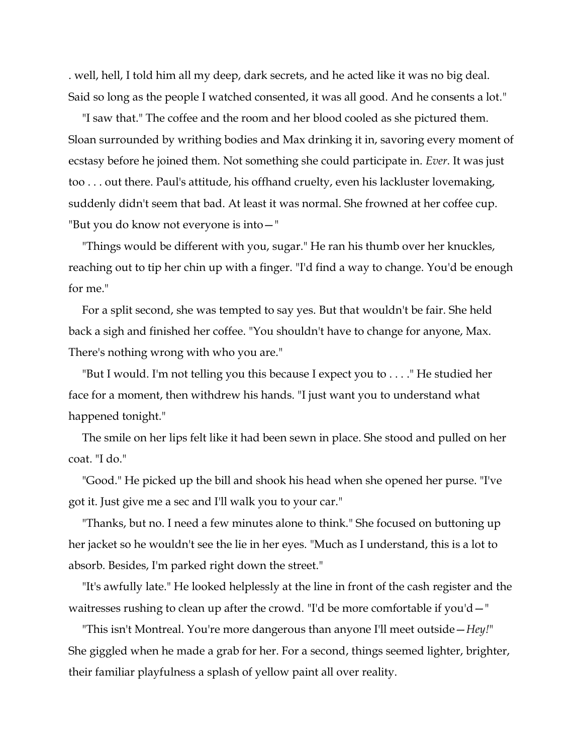. well, hell, I told him all my deep, dark secrets, and he acted like it was no big deal. Said so long as the people I watched consented, it was all good. And he consents a lot."

"I saw that." The coffee and the room and her blood cooled as she pictured them. Sloan surrounded by writhing bodies and Max drinking it in, savoring every moment of ecstasy before he joined them. Not something she could participate in. *Ever*. It was just too . . . out there. Paul's attitude, his offhand cruelty, even his lackluster lovemaking, suddenly didn't seem that bad. At least it was normal. She frowned at her coffee cup. "But you do know not everyone is into—"

"Things would be different with you, sugar." He ran his thumb over her knuckles, reaching out to tip her chin up with a finger. "I'd find a way to change. You'd be enough for me."

For a split second, she was tempted to say yes. But that wouldn't be fair. She held back a sigh and finished her coffee. "You shouldn't have to change for anyone, Max. There's nothing wrong with who you are."

"But I would. I'm not telling you this because I expect you to . . . ." He studied her face for a moment, then withdrew his hands. "I just want you to understand what happened tonight."

The smile on her lips felt like it had been sewn in place. She stood and pulled on her coat. "I do."

"Good." He picked up the bill and shook his head when she opened her purse. "I've got it. Just give me a sec and I'll walk you to your car."

"Thanks, but no. I need a few minutes alone to think." She focused on buttoning up her jacket so he wouldn't see the lie in her eyes. "Much as I understand, this is a lot to absorb. Besides, I'm parked right down the street."

"It's awfully late." He looked helplessly at the line in front of the cash register and the waitresses rushing to clean up after the crowd. "I'd be more comfortable if you'd—"

"This isn't Montreal. You're more dangerous than anyone I'll meet outside—*Hey!*" She giggled when he made a grab for her. For a second, things seemed lighter, brighter, their familiar playfulness a splash of yellow paint all over reality.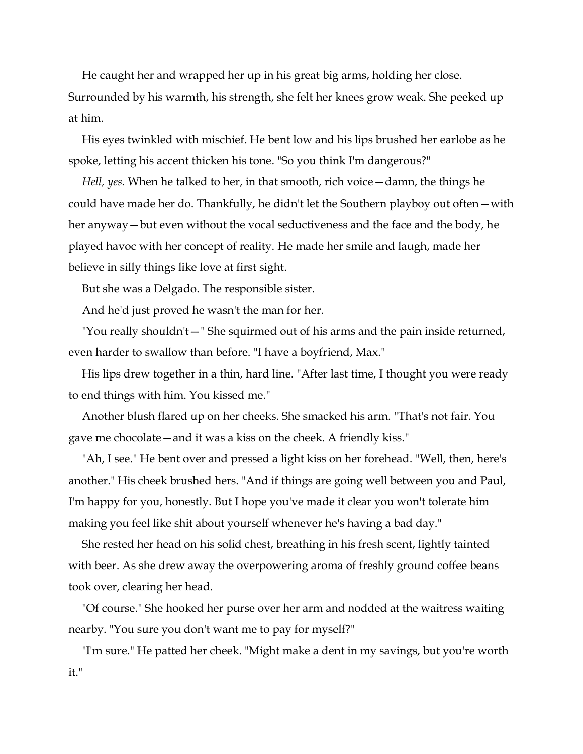He caught her and wrapped her up in his great big arms, holding her close. Surrounded by his warmth, his strength, she felt her knees grow weak. She peeked up at him.

His eyes twinkled with mischief. He bent low and his lips brushed her earlobe as he spoke, letting his accent thicken his tone. "So you think I'm dangerous?"

*Hell, yes.* When he talked to her, in that smooth, rich voice—damn, the things he could have made her do. Thankfully, he didn't let the Southern playboy out often—with her anyway—but even without the vocal seductiveness and the face and the body, he played havoc with her concept of reality. He made her smile and laugh, made her believe in silly things like love at first sight.

But she was a Delgado. The responsible sister.

And he'd just proved he wasn't the man for her.

"You really shouldn't—" She squirmed out of his arms and the pain inside returned, even harder to swallow than before. "I have a boyfriend, Max."

His lips drew together in a thin, hard line. "After last time, I thought you were ready to end things with him. You kissed me."

Another blush flared up on her cheeks. She smacked his arm. "That's not fair. You gave me chocolate—and it was a kiss on the cheek. A friendly kiss."

"Ah, I see." He bent over and pressed a light kiss on her forehead. "Well, then, here's another." His cheek brushed hers. "And if things are going well between you and Paul, I'm happy for you, honestly. But I hope you've made it clear you won't tolerate him making you feel like shit about yourself whenever he's having a bad day."

She rested her head on his solid chest, breathing in his fresh scent, lightly tainted with beer. As she drew away the overpowering aroma of freshly ground coffee beans took over, clearing her head.

"Of course." She hooked her purse over her arm and nodded at the waitress waiting nearby. "You sure you don't want me to pay for myself?"

"I'm sure." He patted her cheek. "Might make a dent in my savings, but you're worth it."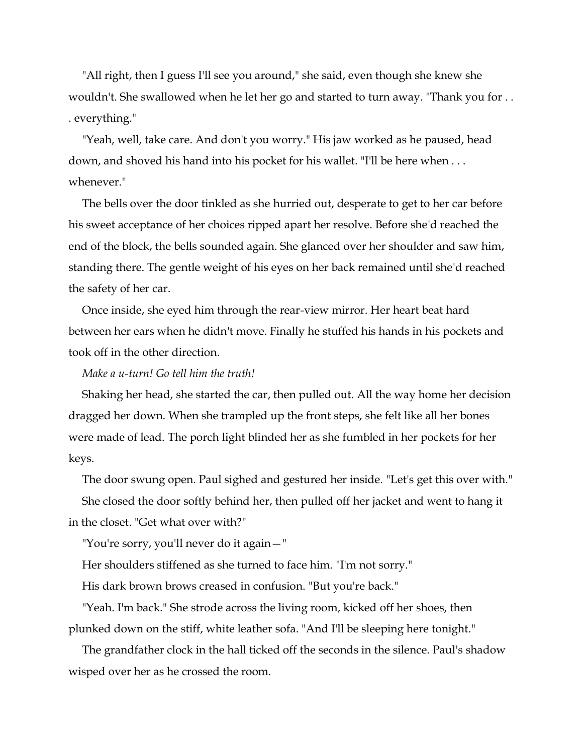"All right, then I guess I'll see you around," she said, even though she knew she wouldn't. She swallowed when he let her go and started to turn away. "Thank you for . . . everything."

"Yeah, well, take care. And don't you worry." His jaw worked as he paused, head down, and shoved his hand into his pocket for his wallet. "I'll be here when . . . whenever."

The bells over the door tinkled as she hurried out, desperate to get to her car before his sweet acceptance of her choices ripped apart her resolve. Before she'd reached the end of the block, the bells sounded again. She glanced over her shoulder and saw him, standing there. The gentle weight of his eyes on her back remained until she'd reached the safety of her car.

Once inside, she eyed him through the rear-view mirror. Her heart beat hard between her ears when he didn't move. Finally he stuffed his hands in his pockets and took off in the other direction.

#### *Make a u-turn! Go tell him the truth!*

Shaking her head, she started the car, then pulled out. All the way home her decision dragged her down. When she trampled up the front steps, she felt like all her bones were made of lead. The porch light blinded her as she fumbled in her pockets for her keys.

The door swung open. Paul sighed and gestured her inside. "Let's get this over with." She closed the door softly behind her, then pulled off her jacket and went to hang it in the closet. "Get what over with?"

"You're sorry, you'll never do it again—"

Her shoulders stiffened as she turned to face him. "I'm not sorry."

His dark brown brows creased in confusion. "But you're back."

"Yeah. I'm back." She strode across the living room, kicked off her shoes, then plunked down on the stiff, white leather sofa. "And I'll be sleeping here tonight."

The grandfather clock in the hall ticked off the seconds in the silence. Paul's shadow wisped over her as he crossed the room.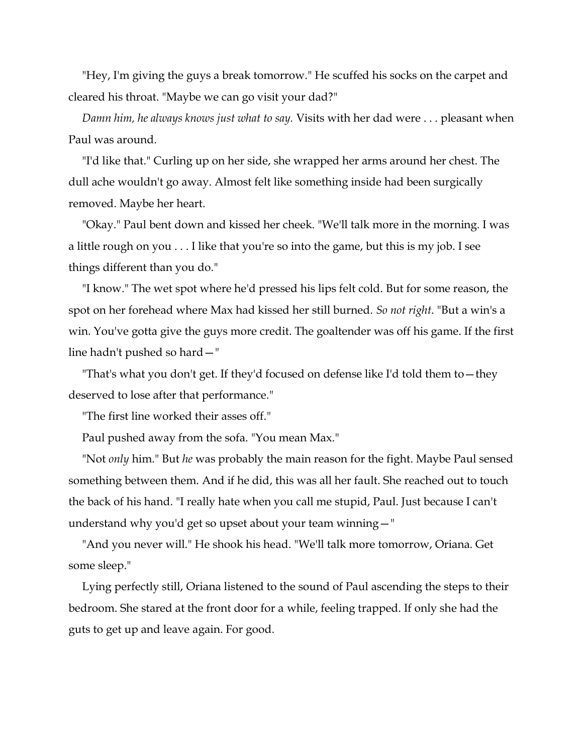"Hey, I'm giving the guys a break tomorrow." He scuffed his socks on the carpet and cleared his throat. "Maybe we can go visit your dad?"

*Damn him, he always knows just what to say.* Visits with her dad were . . . pleasant when Paul was around.

"I'd like that." Curling up on her side, she wrapped her arms around her chest. The dull ache wouldn't go away. Almost felt like something inside had been surgically removed. Maybe her heart.

"Okay." Paul bent down and kissed her cheek. "We'll talk more in the morning. I was a little rough on you . . . I like that you're so into the game, but this is my job. I see things different than you do."

"I know." The wet spot where he'd pressed his lips felt cold. But for some reason, the spot on her forehead where Max had kissed her still burned. *So not right*. "But a win's a win. You've gotta give the guys more credit. The goaltender was off his game. If the first line hadn't pushed so hard—"

"That's what you don't get. If they'd focused on defense like I'd told them to—they deserved to lose after that performance."

"The first line worked their asses off."

Paul pushed away from the sofa. "You mean Max."

"Not *only* him." But *he* was probably the main reason for the fight. Maybe Paul sensed something between them. And if he did, this was all her fault. She reached out to touch the back of his hand. "I really hate when you call me stupid, Paul. Just because I can't understand why you'd get so upset about your team winning—"

"And you never will." He shook his head. "We'll talk more tomorrow, Oriana. Get some sleep."

Lying perfectly still, Oriana listened to the sound of Paul ascending the steps to their bedroom. She stared at the front door for a while, feeling trapped. If only she had the guts to get up and leave again. For good.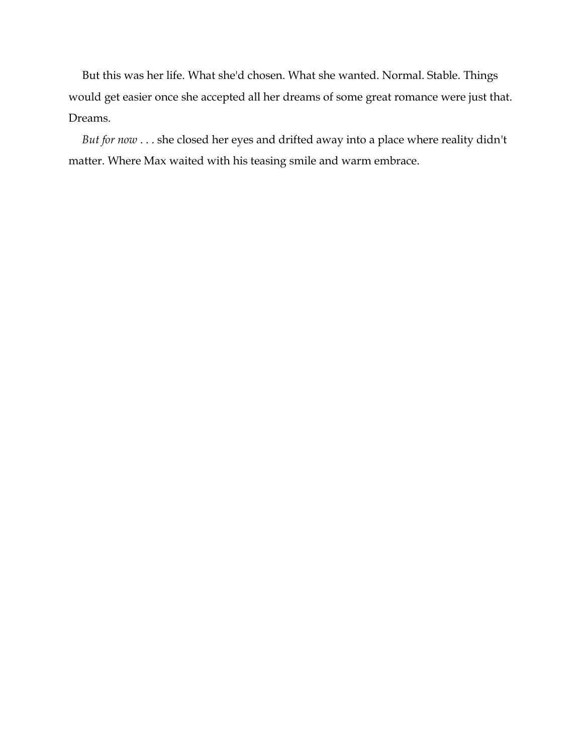But this was her life. What she'd chosen. What she wanted. Normal. Stable. Things would get easier once she accepted all her dreams of some great romance were just that. Dreams.

*But for now* . . . she closed her eyes and drifted away into a place where reality didn't matter. Where Max waited with his teasing smile and warm embrace.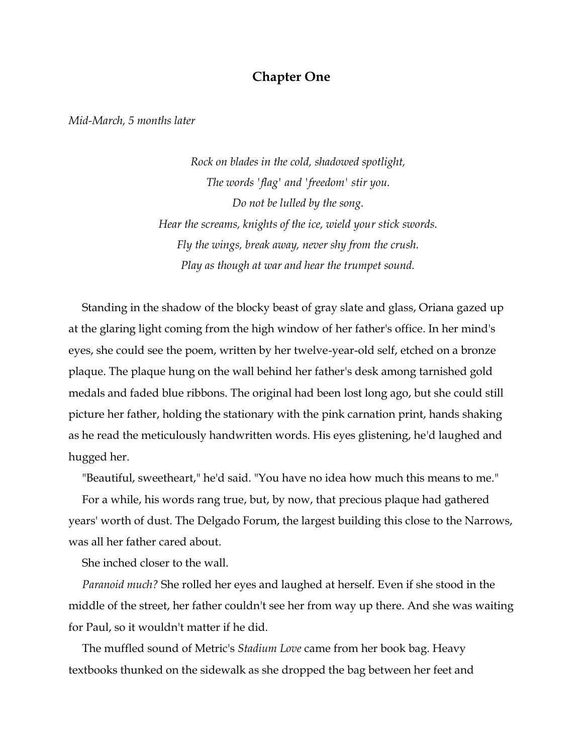### **Chapter One**

*Mid-March, 5 months later*

*Rock on blades in the cold, shadowed spotlight, The words 'flag' and 'freedom' stir you. Do not be lulled by the song. Hear the screams, knights of the ice, wield your stick swords. Fly the wings, break away, never shy from the crush. Play as though at war and hear the trumpet sound.*

Standing in the shadow of the blocky beast of gray slate and glass, Oriana gazed up at the glaring light coming from the high window of her father's office. In her mind's eyes, she could see the poem, written by her twelve-year-old self, etched on a bronze plaque. The plaque hung on the wall behind her father's desk among tarnished gold medals and faded blue ribbons. The original had been lost long ago, but she could still picture her father, holding the stationary with the pink carnation print, hands shaking as he read the meticulously handwritten words. His eyes glistening, he'd laughed and hugged her.

"Beautiful, sweetheart," he'd said. "You have no idea how much this means to me."

For a while, his words rang true, but, by now, that precious plaque had gathered years' worth of dust. The Delgado Forum, the largest building this close to the Narrows, was all her father cared about.

She inched closer to the wall.

*Paranoid much?* She rolled her eyes and laughed at herself. Even if she stood in the middle of the street, her father couldn't see her from way up there. And she was waiting for Paul, so it wouldn't matter if he did.

The muffled sound of Metric's *Stadium Love* came from her book bag. Heavy textbooks thunked on the sidewalk as she dropped the bag between her feet and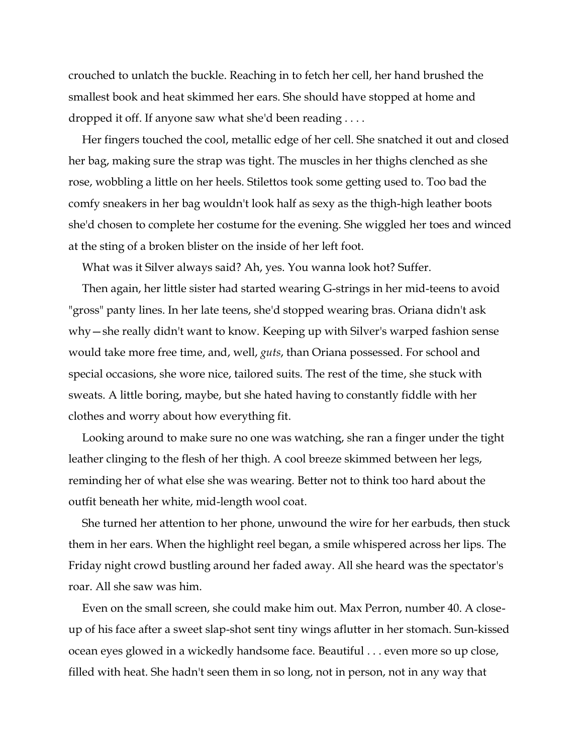crouched to unlatch the buckle. Reaching in to fetch her cell, her hand brushed the smallest book and heat skimmed her ears. She should have stopped at home and dropped it off. If anyone saw what she'd been reading . . . .

Her fingers touched the cool, metallic edge of her cell. She snatched it out and closed her bag, making sure the strap was tight. The muscles in her thighs clenched as she rose, wobbling a little on her heels. Stilettos took some getting used to. Too bad the comfy sneakers in her bag wouldn't look half as sexy as the thigh-high leather boots she'd chosen to complete her costume for the evening. She wiggled her toes and winced at the sting of a broken blister on the inside of her left foot.

What was it Silver always said? Ah, yes. You wanna look hot? Suffer.

Then again, her little sister had started wearing G-strings in her mid-teens to avoid "gross" panty lines. In her late teens, she'd stopped wearing bras. Oriana didn't ask why—she really didn't want to know. Keeping up with Silver's warped fashion sense would take more free time, and, well, *guts*, than Oriana possessed. For school and special occasions, she wore nice, tailored suits. The rest of the time, she stuck with sweats. A little boring, maybe, but she hated having to constantly fiddle with her clothes and worry about how everything fit.

Looking around to make sure no one was watching, she ran a finger under the tight leather clinging to the flesh of her thigh. A cool breeze skimmed between her legs, reminding her of what else she was wearing. Better not to think too hard about the outfit beneath her white, mid-length wool coat.

She turned her attention to her phone, unwound the wire for her earbuds, then stuck them in her ears. When the highlight reel began, a smile whispered across her lips. The Friday night crowd bustling around her faded away. All she heard was the spectator's roar. All she saw was him.

Even on the small screen, she could make him out. Max Perron, number 40. A closeup of his face after a sweet slap-shot sent tiny wings aflutter in her stomach. Sun-kissed ocean eyes glowed in a wickedly handsome face. Beautiful . . . even more so up close, filled with heat. She hadn't seen them in so long, not in person, not in any way that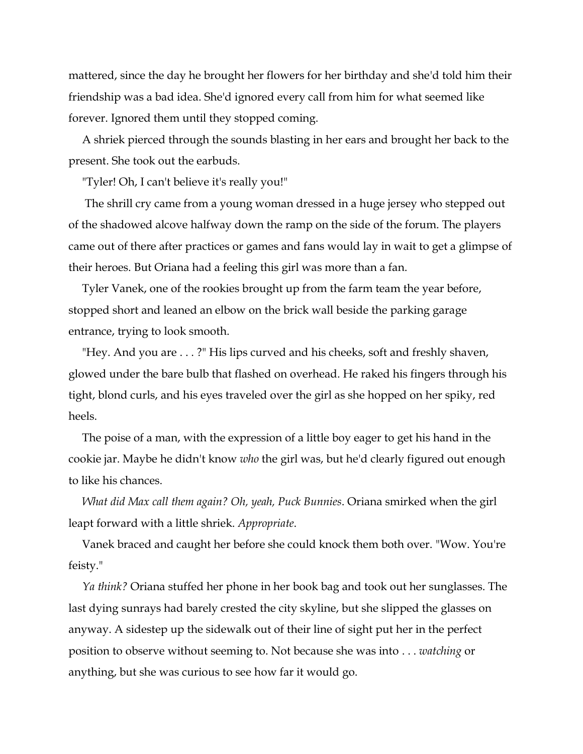mattered, since the day he brought her flowers for her birthday and she'd told him their friendship was a bad idea. She'd ignored every call from him for what seemed like forever. Ignored them until they stopped coming.

A shriek pierced through the sounds blasting in her ears and brought her back to the present. She took out the earbuds.

"Tyler! Oh, I can't believe it's really you!"

The shrill cry came from a young woman dressed in a huge jersey who stepped out of the shadowed alcove halfway down the ramp on the side of the forum. The players came out of there after practices or games and fans would lay in wait to get a glimpse of their heroes. But Oriana had a feeling this girl was more than a fan.

Tyler Vanek, one of the rookies brought up from the farm team the year before, stopped short and leaned an elbow on the brick wall beside the parking garage entrance, trying to look smooth.

"Hey. And you are . . . ?" His lips curved and his cheeks, soft and freshly shaven, glowed under the bare bulb that flashed on overhead. He raked his fingers through his tight, blond curls, and his eyes traveled over the girl as she hopped on her spiky, red heels.

The poise of a man, with the expression of a little boy eager to get his hand in the cookie jar. Maybe he didn't know *who* the girl was, but he'd clearly figured out enough to like his chances.

*What did Max call them again? Oh, yeah, Puck Bunnies*. Oriana smirked when the girl leapt forward with a little shriek. *Appropriate*.

Vanek braced and caught her before she could knock them both over. "Wow. You're feisty."

*Ya think?* Oriana stuffed her phone in her book bag and took out her sunglasses. The last dying sunrays had barely crested the city skyline, but she slipped the glasses on anyway. A sidestep up the sidewalk out of their line of sight put her in the perfect position to observe without seeming to. Not because she was into . . . *watching* or anything, but she was curious to see how far it would go.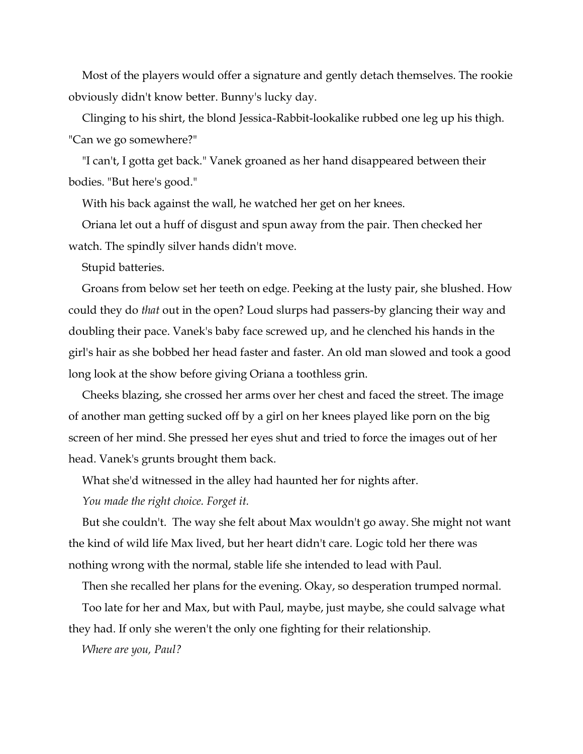Most of the players would offer a signature and gently detach themselves. The rookie obviously didn't know better. Bunny's lucky day.

Clinging to his shirt, the blond Jessica-Rabbit-lookalike rubbed one leg up his thigh. "Can we go somewhere?"

"I can't, I gotta get back." Vanek groaned as her hand disappeared between their bodies. "But here's good."

With his back against the wall, he watched her get on her knees.

Oriana let out a huff of disgust and spun away from the pair. Then checked her watch. The spindly silver hands didn't move.

Stupid batteries.

Groans from below set her teeth on edge. Peeking at the lusty pair, she blushed. How could they do *that* out in the open? Loud slurps had passers-by glancing their way and doubling their pace. Vanek's baby face screwed up, and he clenched his hands in the girl's hair as she bobbed her head faster and faster. An old man slowed and took a good long look at the show before giving Oriana a toothless grin.

Cheeks blazing, she crossed her arms over her chest and faced the street. The image of another man getting sucked off by a girl on her knees played like porn on the big screen of her mind. She pressed her eyes shut and tried to force the images out of her head. Vanek's grunts brought them back.

What she'd witnessed in the alley had haunted her for nights after.

*You made the right choice. Forget it.*

But she couldn't. The way she felt about Max wouldn't go away. She might not want the kind of wild life Max lived, but her heart didn't care. Logic told her there was nothing wrong with the normal, stable life she intended to lead with Paul.

Then she recalled her plans for the evening. Okay, so desperation trumped normal.

Too late for her and Max, but with Paul, maybe, just maybe, she could salvage what they had. If only she weren't the only one fighting for their relationship.

*Where are you, Paul?*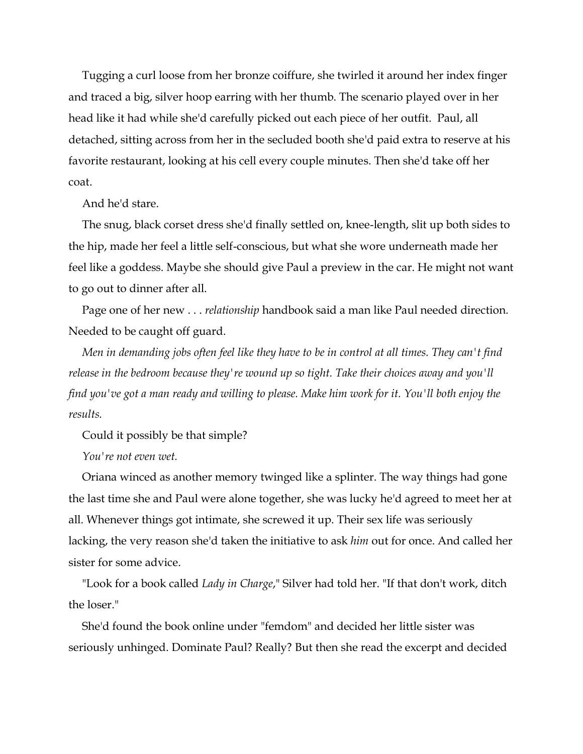Tugging a curl loose from her bronze coiffure, she twirled it around her index finger and traced a big, silver hoop earring with her thumb. The scenario played over in her head like it had while she'd carefully picked out each piece of her outfit. Paul, all detached, sitting across from her in the secluded booth she'd paid extra to reserve at his favorite restaurant, looking at his cell every couple minutes. Then she'd take off her coat.

And he'd stare.

The snug, black corset dress she'd finally settled on, knee-length, slit up both sides to the hip, made her feel a little self-conscious, but what she wore underneath made her feel like a goddess. Maybe she should give Paul a preview in the car. He might not want to go out to dinner after all.

Page one of her new . . . *relationship* handbook said a man like Paul needed direction. Needed to be caught off guard.

*Men in demanding jobs often feel like they have to be in control at all times. They can't find release in the bedroom because they're wound up so tight. Take their choices away and you'll find you've got a man ready and willing to please. Make him work for it. You'll both enjoy the results.*

Could it possibly be that simple?

*You're not even wet.*

Oriana winced as another memory twinged like a splinter. The way things had gone the last time she and Paul were alone together, she was lucky he'd agreed to meet her at all. Whenever things got intimate, she screwed it up. Their sex life was seriously lacking, the very reason she'd taken the initiative to ask *him* out for once. And called her sister for some advice.

"Look for a book called *Lady in Charge*," Silver had told her. "If that don't work, ditch the loser."

She'd found the book online under "femdom" and decided her little sister was seriously unhinged. Dominate Paul? Really? But then she read the excerpt and decided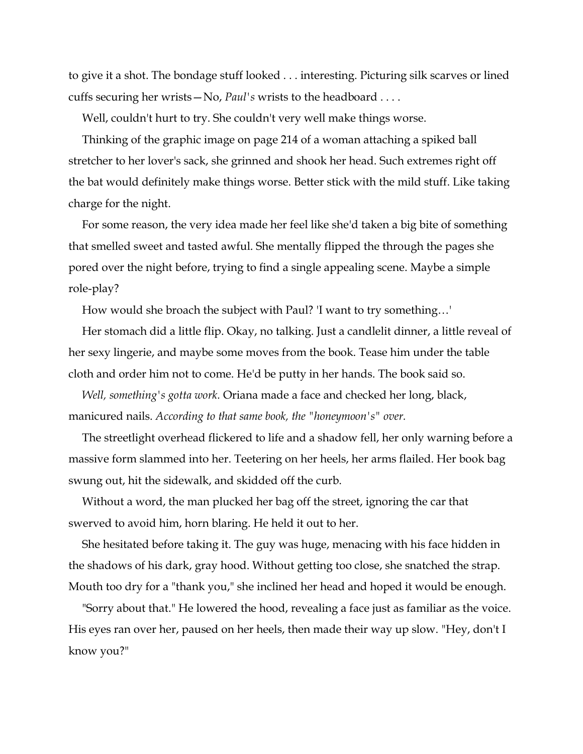to give it a shot. The bondage stuff looked . . . interesting. Picturing silk scarves or lined cuffs securing her wrists—No, *Paul's* wrists to the headboard . . . .

Well, couldn't hurt to try. She couldn't very well make things worse.

Thinking of the graphic image on page 214 of a woman attaching a spiked ball stretcher to her lover's sack, she grinned and shook her head. Such extremes right off the bat would definitely make things worse. Better stick with the mild stuff. Like taking charge for the night.

For some reason, the very idea made her feel like she'd taken a big bite of something that smelled sweet and tasted awful. She mentally flipped the through the pages she pored over the night before, trying to find a single appealing scene. Maybe a simple role-play?

How would she broach the subject with Paul? 'I want to try something…'

Her stomach did a little flip. Okay, no talking. Just a candlelit dinner, a little reveal of her sexy lingerie, and maybe some moves from the book. Tease him under the table cloth and order him not to come. He'd be putty in her hands. The book said so.

*Well, something's gotta work.* Oriana made a face and checked her long, black, manicured nails. *According to that same book, the "honeymoon's" over.*

The streetlight overhead flickered to life and a shadow fell, her only warning before a massive form slammed into her. Teetering on her heels, her arms flailed. Her book bag swung out, hit the sidewalk, and skidded off the curb.

Without a word, the man plucked her bag off the street, ignoring the car that swerved to avoid him, horn blaring. He held it out to her.

She hesitated before taking it. The guy was huge, menacing with his face hidden in the shadows of his dark, gray hood. Without getting too close, she snatched the strap. Mouth too dry for a "thank you," she inclined her head and hoped it would be enough.

"Sorry about that." He lowered the hood, revealing a face just as familiar as the voice. His eyes ran over her, paused on her heels, then made their way up slow. "Hey, don't I know you?"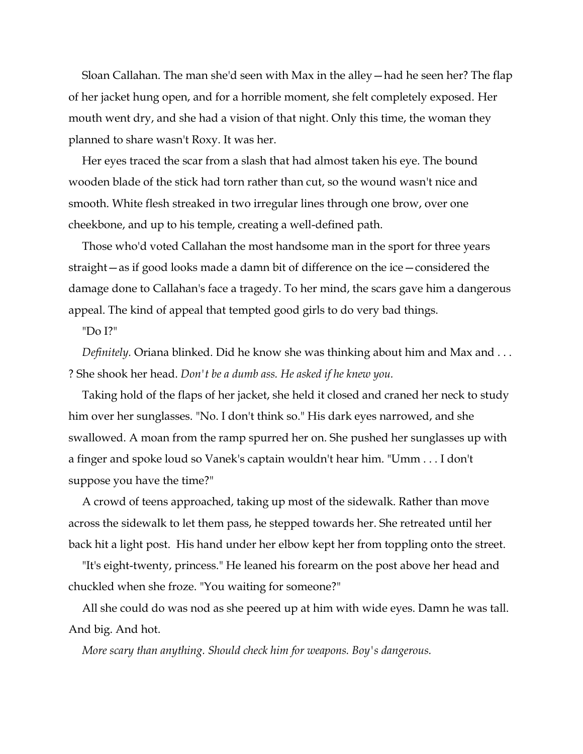Sloan Callahan. The man she'd seen with Max in the alley—had he seen her? The flap of her jacket hung open, and for a horrible moment, she felt completely exposed. Her mouth went dry, and she had a vision of that night. Only this time, the woman they planned to share wasn't Roxy. It was her.

Her eyes traced the scar from a slash that had almost taken his eye. The bound wooden blade of the stick had torn rather than cut, so the wound wasn't nice and smooth. White flesh streaked in two irregular lines through one brow, over one cheekbone, and up to his temple, creating a well-defined path.

Those who'd voted Callahan the most handsome man in the sport for three years straight—as if good looks made a damn bit of difference on the ice—considered the damage done to Callahan's face a tragedy. To her mind, the scars gave him a dangerous appeal. The kind of appeal that tempted good girls to do very bad things.

"Do I?"

*Definitely.* Oriana blinked. Did he know she was thinking about him and Max and . . . ? She shook her head. *Don't be a dumb ass. He asked if he knew you.*

Taking hold of the flaps of her jacket, she held it closed and craned her neck to study him over her sunglasses. "No. I don't think so." His dark eyes narrowed, and she swallowed. A moan from the ramp spurred her on. She pushed her sunglasses up with a finger and spoke loud so Vanek's captain wouldn't hear him. "Umm . . . I don't suppose you have the time?"

A crowd of teens approached, taking up most of the sidewalk. Rather than move across the sidewalk to let them pass, he stepped towards her. She retreated until her back hit a light post. His hand under her elbow kept her from toppling onto the street.

"It's eight-twenty, princess." He leaned his forearm on the post above her head and chuckled when she froze. "You waiting for someone?"

All she could do was nod as she peered up at him with wide eyes. Damn he was tall. And big. And hot.

*More scary than anything. Should check him for weapons. Boy's dangerous.*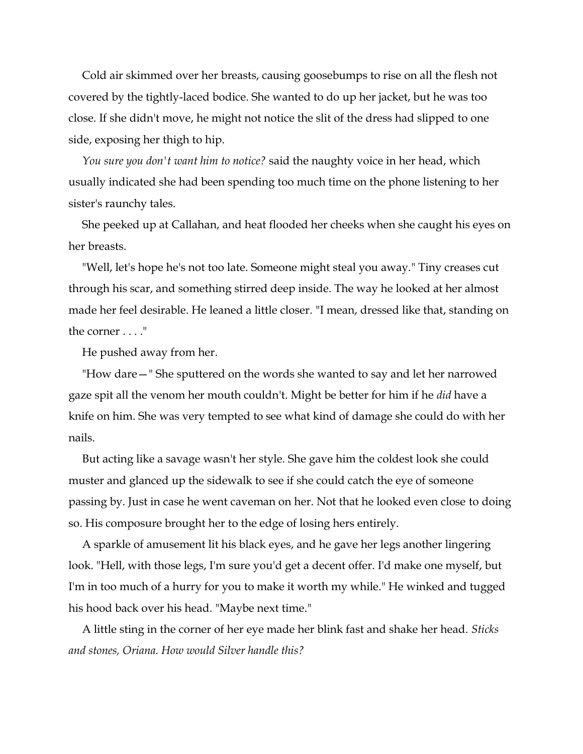Cold air skimmed over her breasts, causing goosebumps to rise on all the flesh not covered by the tightly-laced bodice. She wanted to do up her jacket, but he was too close. If she didn't move, he might not notice the slit of the dress had slipped to one side, exposing her thigh to hip.

*You sure you don't want him to notice?* said the naughty voice in her head, which usually indicated she had been spending too much time on the phone listening to her sister's raunchy tales.

She peeked up at Callahan, and heat flooded her cheeks when she caught his eyes on her breasts.

"Well, let's hope he's not too late. Someone might steal you away." Tiny creases cut through his scar, and something stirred deep inside. The way he looked at her almost made her feel desirable. He leaned a little closer. "I mean, dressed like that, standing on the corner . . . ."

He pushed away from her.

"How dare—" She sputtered on the words she wanted to say and let her narrowed gaze spit all the venom her mouth couldn't. Might be better for him if he *did* have a knife on him. She was very tempted to see what kind of damage she could do with her nails.

But acting like a savage wasn't her style. She gave him the coldest look she could muster and glanced up the sidewalk to see if she could catch the eye of someone passing by. Just in case he went caveman on her. Not that he looked even close to doing so. His composure brought her to the edge of losing hers entirely.

A sparkle of amusement lit his black eyes, and he gave her legs another lingering look. "Hell, with those legs, I'm sure you'd get a decent offer. I'd make one myself, but I'm in too much of a hurry for you to make it worth my while." He winked and tugged his hood back over his head. "Maybe next time."

A little sting in the corner of her eye made her blink fast and shake her head. *Sticks and stones, Oriana. How would Silver handle this?*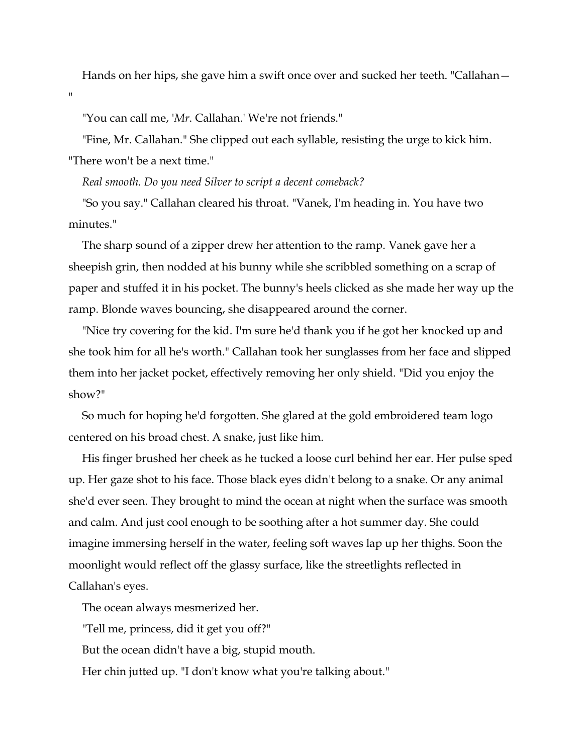Hands on her hips, she gave him a swift once over and sucked her teeth. "Callahan—

"You can call me, '*Mr*. Callahan.' We're not friends."

 $^{\rm n}$ 

"Fine, Mr. Callahan." She clipped out each syllable, resisting the urge to kick him. "There won't be a next time."

*Real smooth. Do you need Silver to script a decent comeback?*

"So you say." Callahan cleared his throat. "Vanek, I'm heading in. You have two minutes."

The sharp sound of a zipper drew her attention to the ramp. Vanek gave her a sheepish grin, then nodded at his bunny while she scribbled something on a scrap of paper and stuffed it in his pocket. The bunny's heels clicked as she made her way up the ramp. Blonde waves bouncing, she disappeared around the corner.

"Nice try covering for the kid. I'm sure he'd thank you if he got her knocked up and she took him for all he's worth." Callahan took her sunglasses from her face and slipped them into her jacket pocket, effectively removing her only shield. "Did you enjoy the show?"

So much for hoping he'd forgotten. She glared at the gold embroidered team logo centered on his broad chest. A snake, just like him.

His finger brushed her cheek as he tucked a loose curl behind her ear. Her pulse sped up. Her gaze shot to his face. Those black eyes didn't belong to a snake. Or any animal she'd ever seen. They brought to mind the ocean at night when the surface was smooth and calm. And just cool enough to be soothing after a hot summer day. She could imagine immersing herself in the water, feeling soft waves lap up her thighs. Soon the moonlight would reflect off the glassy surface, like the streetlights reflected in Callahan's eyes.

The ocean always mesmerized her.

"Tell me, princess, did it get you off?"

But the ocean didn't have a big, stupid mouth.

Her chin jutted up. "I don't know what you're talking about."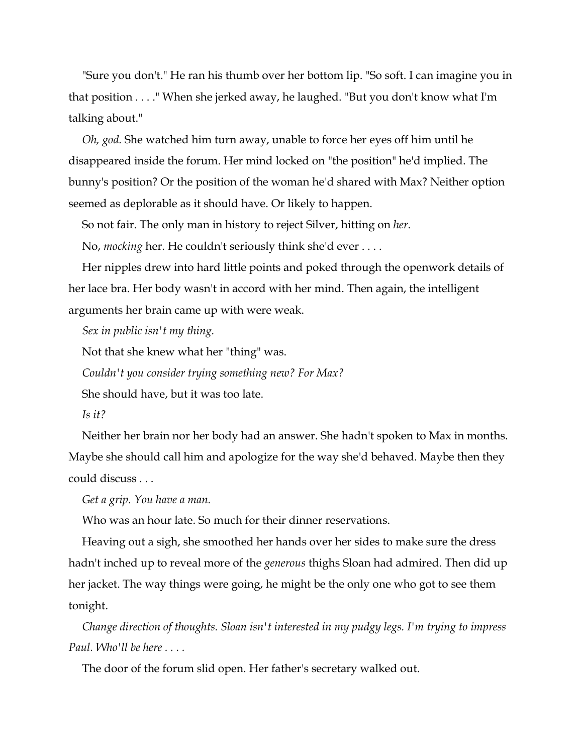"Sure you don't." He ran his thumb over her bottom lip. "So soft. I can imagine you in that position . . . ." When she jerked away, he laughed. "But you don't know what I'm talking about."

*Oh, god.* She watched him turn away, unable to force her eyes off him until he disappeared inside the forum. Her mind locked on "the position" he'd implied. The bunny's position? Or the position of the woman he'd shared with Max? Neither option seemed as deplorable as it should have. Or likely to happen.

So not fair. The only man in history to reject Silver, hitting on *her*.

No, *mocking* her. He couldn't seriously think she'd ever . . . .

Her nipples drew into hard little points and poked through the openwork details of her lace bra. Her body wasn't in accord with her mind. Then again, the intelligent arguments her brain came up with were weak.

*Sex in public isn't my thing.*

Not that she knew what her "thing" was.

*Couldn't you consider trying something new? For Max?*

She should have, but it was too late.

#### *Is it?*

Neither her brain nor her body had an answer. She hadn't spoken to Max in months. Maybe she should call him and apologize for the way she'd behaved. Maybe then they could discuss . . .

*Get a grip. You have a man.*

Who was an hour late. So much for their dinner reservations.

Heaving out a sigh, she smoothed her hands over her sides to make sure the dress hadn't inched up to reveal more of the *generous* thighs Sloan had admired. Then did up her jacket. The way things were going, he might be the only one who got to see them tonight.

*Change direction of thoughts. Sloan isn't interested in my pudgy legs. I'm trying to impress Paul. Who'll be here . . . .*

The door of the forum slid open. Her father's secretary walked out.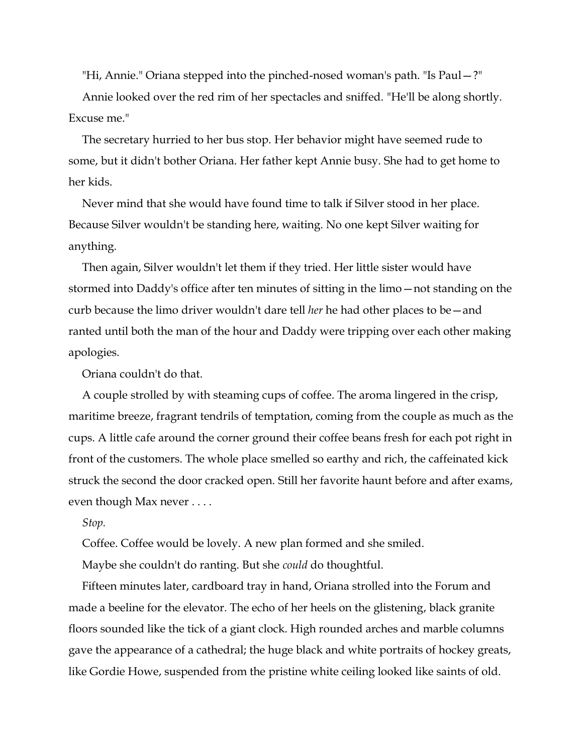"Hi, Annie." Oriana stepped into the pinched-nosed woman's path. "Is Paul—?"

Annie looked over the red rim of her spectacles and sniffed. "He'll be along shortly. Excuse me."

The secretary hurried to her bus stop. Her behavior might have seemed rude to some, but it didn't bother Oriana. Her father kept Annie busy. She had to get home to her kids.

Never mind that she would have found time to talk if Silver stood in her place. Because Silver wouldn't be standing here, waiting. No one kept Silver waiting for anything.

Then again, Silver wouldn't let them if they tried. Her little sister would have stormed into Daddy's office after ten minutes of sitting in the limo—not standing on the curb because the limo driver wouldn't dare tell *her* he had other places to be—and ranted until both the man of the hour and Daddy were tripping over each other making apologies.

Oriana couldn't do that.

A couple strolled by with steaming cups of coffee. The aroma lingered in the crisp, maritime breeze, fragrant tendrils of temptation, coming from the couple as much as the cups. A little cafe around the corner ground their coffee beans fresh for each pot right in front of the customers. The whole place smelled so earthy and rich, the caffeinated kick struck the second the door cracked open. Still her favorite haunt before and after exams, even though Max never . . . .

#### *Stop.*

Coffee. Coffee would be lovely. A new plan formed and she smiled.

Maybe she couldn't do ranting. But she *could* do thoughtful.

Fifteen minutes later, cardboard tray in hand, Oriana strolled into the Forum and made a beeline for the elevator. The echo of her heels on the glistening, black granite floors sounded like the tick of a giant clock. High rounded arches and marble columns gave the appearance of a cathedral; the huge black and white portraits of hockey greats, like Gordie Howe, suspended from the pristine white ceiling looked like saints of old.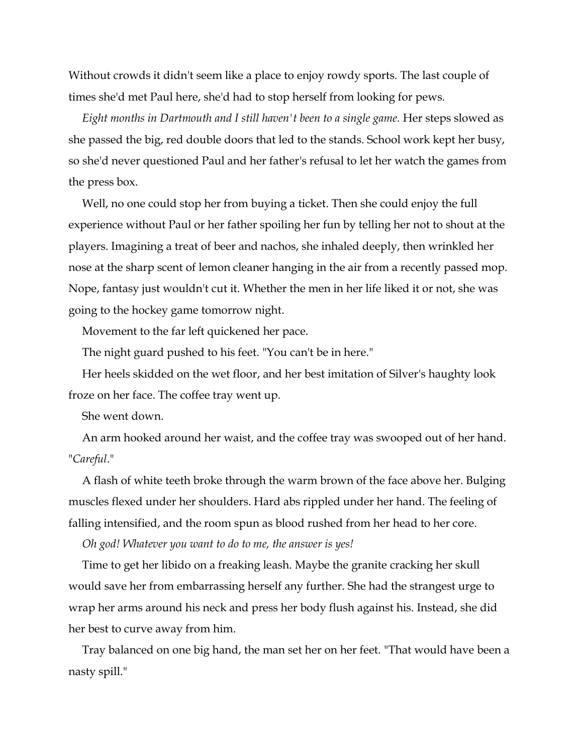Without crowds it didn't seem like a place to enjoy rowdy sports. The last couple of times she'd met Paul here, she'd had to stop herself from looking for pews.

*Eight months in Dartmouth and I still haven't been to a single game.* Her steps slowed as she passed the big, red double doors that led to the stands. School work kept her busy, so she'd never questioned Paul and her father's refusal to let her watch the games from the press box.

Well, no one could stop her from buying a ticket. Then she could enjoy the full experience without Paul or her father spoiling her fun by telling her not to shout at the players. Imagining a treat of beer and nachos, she inhaled deeply, then wrinkled her nose at the sharp scent of lemon cleaner hanging in the air from a recently passed mop. Nope, fantasy just wouldn't cut it. Whether the men in her life liked it or not, she was going to the hockey game tomorrow night.

Movement to the far left quickened her pace.

The night guard pushed to his feet. "You can't be in here."

Her heels skidded on the wet floor, and her best imitation of Silver's haughty look froze on her face. The coffee tray went up.

She went down.

An arm hooked around her waist, and the coffee tray was swooped out of her hand. "*Careful*."

A flash of white teeth broke through the warm brown of the face above her. Bulging muscles flexed under her shoulders. Hard abs rippled under her hand. The feeling of falling intensified, and the room spun as blood rushed from her head to her core.

*Oh god! Whatever you want to do to me, the answer is yes!*

Time to get her libido on a freaking leash. Maybe the granite cracking her skull would save her from embarrassing herself any further. She had the strangest urge to wrap her arms around his neck and press her body flush against his. Instead, she did her best to curve away from him.

Tray balanced on one big hand, the man set her on her feet. "That would have been a nasty spill."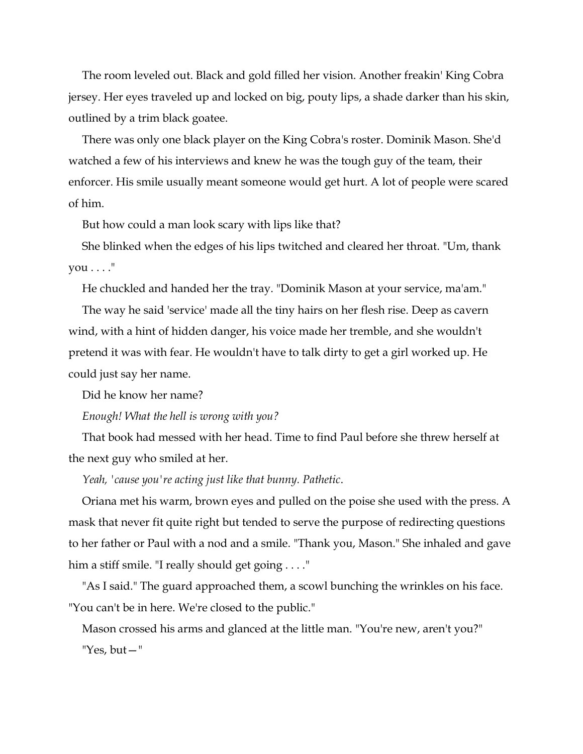The room leveled out. Black and gold filled her vision. Another freakin' King Cobra jersey. Her eyes traveled up and locked on big, pouty lips, a shade darker than his skin, outlined by a trim black goatee.

There was only one black player on the King Cobra's roster. Dominik Mason. She'd watched a few of his interviews and knew he was the tough guy of the team, their enforcer. His smile usually meant someone would get hurt. A lot of people were scared of him.

But how could a man look scary with lips like that?

She blinked when the edges of his lips twitched and cleared her throat. "Um, thank  $you \ldots$ ."

He chuckled and handed her the tray. "Dominik Mason at your service, ma'am."

The way he said 'service' made all the tiny hairs on her flesh rise. Deep as cavern wind, with a hint of hidden danger, his voice made her tremble, and she wouldn't pretend it was with fear. He wouldn't have to talk dirty to get a girl worked up. He could just say her name.

Did he know her name?

*Enough! What the hell is wrong with you?*

That book had messed with her head. Time to find Paul before she threw herself at the next guy who smiled at her.

*Yeah, 'cause you're acting just like that bunny. Pathetic*.

Oriana met his warm, brown eyes and pulled on the poise she used with the press. A mask that never fit quite right but tended to serve the purpose of redirecting questions to her father or Paul with a nod and a smile. "Thank you, Mason." She inhaled and gave him a stiff smile. "I really should get going . . . ."

"As I said." The guard approached them, a scowl bunching the wrinkles on his face. "You can't be in here. We're closed to the public."

Mason crossed his arms and glanced at the little man. "You're new, aren't you?" "Yes, but—"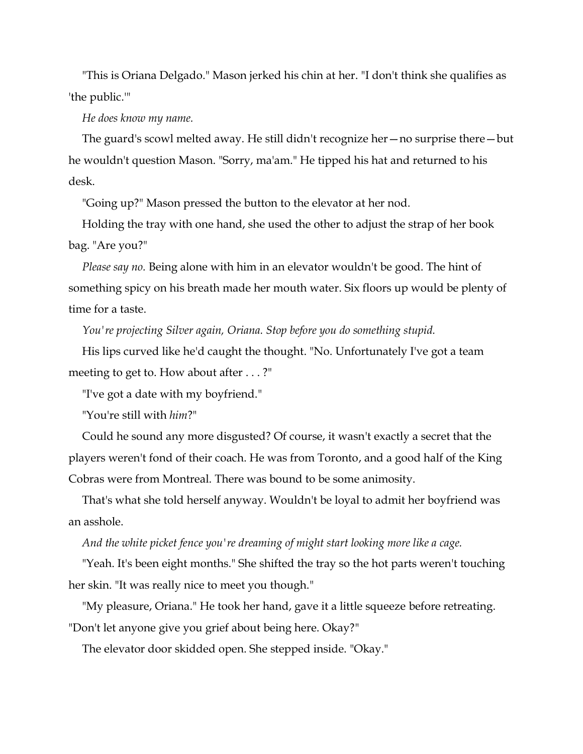"This is Oriana Delgado." Mason jerked his chin at her. "I don't think she qualifies as 'the public.'"

*He does know my name.*

The guard's scowl melted away. He still didn't recognize her—no surprise there—but he wouldn't question Mason. "Sorry, ma'am." He tipped his hat and returned to his desk.

"Going up?" Mason pressed the button to the elevator at her nod.

Holding the tray with one hand, she used the other to adjust the strap of her book bag. "Are you?"

*Please say no.* Being alone with him in an elevator wouldn't be good. The hint of something spicy on his breath made her mouth water. Six floors up would be plenty of time for a taste.

*You're projecting Silver again, Oriana. Stop before you do something stupid.*

His lips curved like he'd caught the thought. "No. Unfortunately I've got a team meeting to get to. How about after . . . ?"

"I've got a date with my boyfriend."

"You're still with *him*?"

Could he sound any more disgusted? Of course, it wasn't exactly a secret that the players weren't fond of their coach. He was from Toronto, and a good half of the King Cobras were from Montreal. There was bound to be some animosity.

That's what she told herself anyway. Wouldn't be loyal to admit her boyfriend was an asshole.

*And the white picket fence you're dreaming of might start looking more like a cage.*

"Yeah. It's been eight months." She shifted the tray so the hot parts weren't touching her skin. "It was really nice to meet you though."

"My pleasure, Oriana." He took her hand, gave it a little squeeze before retreating. "Don't let anyone give you grief about being here. Okay?"

The elevator door skidded open. She stepped inside. "Okay."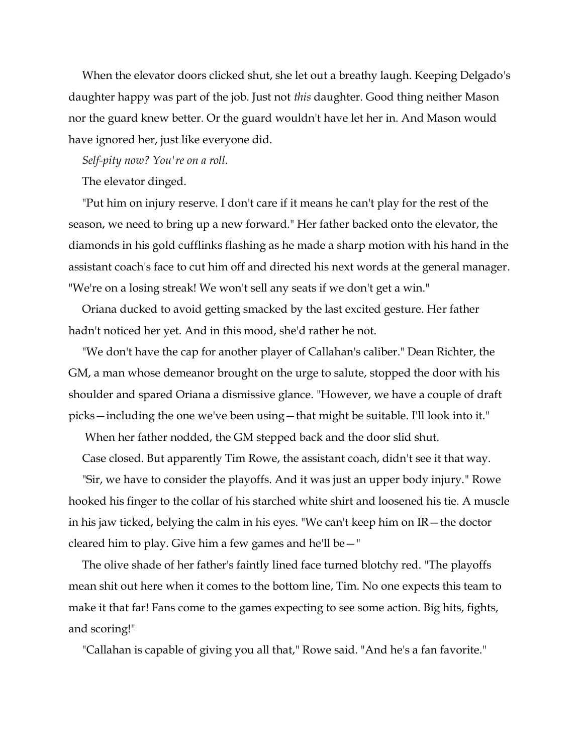When the elevator doors clicked shut, she let out a breathy laugh. Keeping Delgado's daughter happy was part of the job. Just not *this* daughter. Good thing neither Mason nor the guard knew better. Or the guard wouldn't have let her in. And Mason would have ignored her, just like everyone did.

*Self-pity now? You're on a roll.*

The elevator dinged.

"Put him on injury reserve. I don't care if it means he can't play for the rest of the season, we need to bring up a new forward." Her father backed onto the elevator, the diamonds in his gold cufflinks flashing as he made a sharp motion with his hand in the assistant coach's face to cut him off and directed his next words at the general manager. "We're on a losing streak! We won't sell any seats if we don't get a win."

Oriana ducked to avoid getting smacked by the last excited gesture. Her father hadn't noticed her yet. And in this mood, she'd rather he not.

"We don't have the cap for another player of Callahan's caliber." Dean Richter, the GM, a man whose demeanor brought on the urge to salute, stopped the door with his shoulder and spared Oriana a dismissive glance. "However, we have a couple of draft picks—including the one we've been using—that might be suitable. I'll look into it."

When her father nodded, the GM stepped back and the door slid shut.

Case closed. But apparently Tim Rowe, the assistant coach, didn't see it that way.

"Sir, we have to consider the playoffs. And it was just an upper body injury." Rowe hooked his finger to the collar of his starched white shirt and loosened his tie. A muscle in his jaw ticked, belying the calm in his eyes. "We can't keep him on IR—the doctor cleared him to play. Give him a few games and he'll be—"

The olive shade of her father's faintly lined face turned blotchy red. "The playoffs mean shit out here when it comes to the bottom line, Tim. No one expects this team to make it that far! Fans come to the games expecting to see some action. Big hits, fights, and scoring!"

"Callahan is capable of giving you all that," Rowe said. "And he's a fan favorite."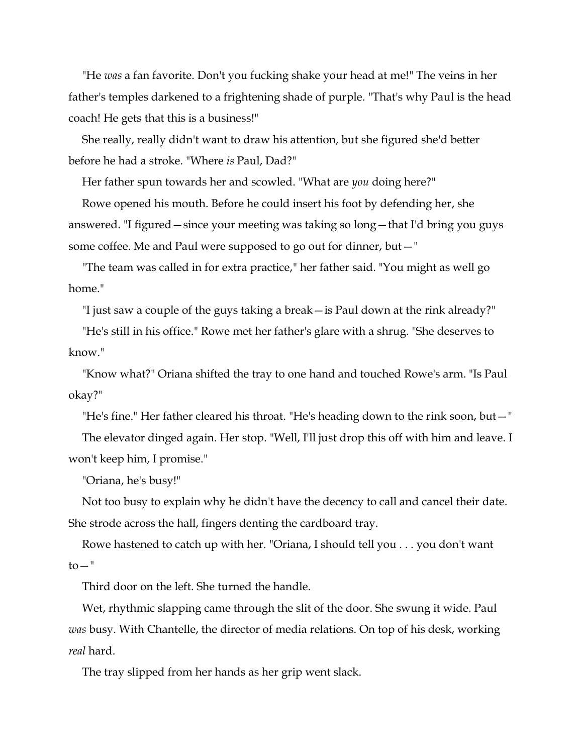"He *was* a fan favorite. Don't you fucking shake your head at me!" The veins in her father's temples darkened to a frightening shade of purple. "That's why Paul is the head coach! He gets that this is a business!"

She really, really didn't want to draw his attention, but she figured she'd better before he had a stroke. "Where *is* Paul, Dad?"

Her father spun towards her and scowled. "What are *you* doing here?"

Rowe opened his mouth. Before he could insert his foot by defending her, she answered. "I figured—since your meeting was taking so long—that I'd bring you guys some coffee. Me and Paul were supposed to go out for dinner, but—"

"The team was called in for extra practice," her father said. "You might as well go home<sup>"</sup>

"I just saw a couple of the guys taking a break—is Paul down at the rink already?"

"He's still in his office." Rowe met her father's glare with a shrug. "She deserves to know."

"Know what?" Oriana shifted the tray to one hand and touched Rowe's arm. "Is Paul okay?"

"He's fine." Her father cleared his throat. "He's heading down to the rink soon, but—"

The elevator dinged again. Her stop. "Well, I'll just drop this off with him and leave. I won't keep him, I promise."

"Oriana, he's busy!"

Not too busy to explain why he didn't have the decency to call and cancel their date. She strode across the hall, fingers denting the cardboard tray.

Rowe hastened to catch up with her. "Oriana, I should tell you . . . you don't want  $to -"$ 

Third door on the left. She turned the handle.

Wet, rhythmic slapping came through the slit of the door. She swung it wide. Paul *was* busy. With Chantelle, the director of media relations. On top of his desk, working *real* hard.

The tray slipped from her hands as her grip went slack.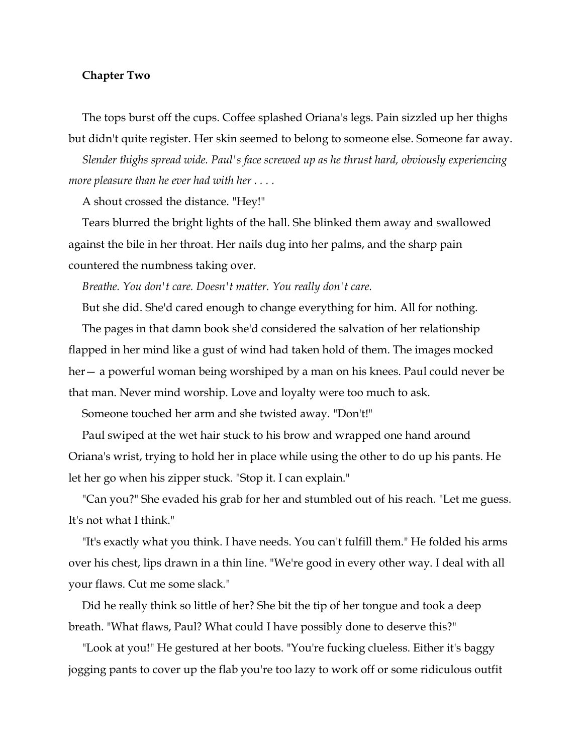#### **Chapter Two**

The tops burst off the cups. Coffee splashed Oriana's legs. Pain sizzled up her thighs but didn't quite register. Her skin seemed to belong to someone else. Someone far away.

*Slender thighs spread wide. Paul's face screwed up as he thrust hard, obviously experiencing more pleasure than he ever had with her . . . .*

A shout crossed the distance. "Hey!"

Tears blurred the bright lights of the hall. She blinked them away and swallowed against the bile in her throat. Her nails dug into her palms, and the sharp pain countered the numbness taking over.

*Breathe. You don't care. Doesn't matter. You really don't care.*

But she did. She'd cared enough to change everything for him. All for nothing.

The pages in that damn book she'd considered the salvation of her relationship flapped in her mind like a gust of wind had taken hold of them. The images mocked her— a powerful woman being worshiped by a man on his knees. Paul could never be that man. Never mind worship. Love and loyalty were too much to ask.

Someone touched her arm and she twisted away. "Don't!"

Paul swiped at the wet hair stuck to his brow and wrapped one hand around Oriana's wrist, trying to hold her in place while using the other to do up his pants. He let her go when his zipper stuck. "Stop it. I can explain."

"Can you?" She evaded his grab for her and stumbled out of his reach. "Let me guess. It's not what I think."

"It's exactly what you think. I have needs. You can't fulfill them." He folded his arms over his chest, lips drawn in a thin line. "We're good in every other way. I deal with all your flaws. Cut me some slack."

Did he really think so little of her? She bit the tip of her tongue and took a deep breath. "What flaws, Paul? What could I have possibly done to deserve this?"

"Look at you!" He gestured at her boots. "You're fucking clueless. Either it's baggy jogging pants to cover up the flab you're too lazy to work off or some ridiculous outfit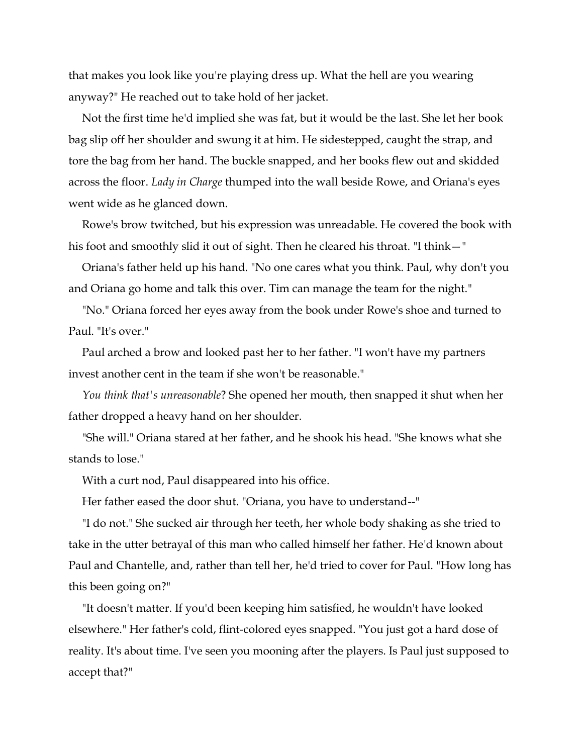that makes you look like you're playing dress up. What the hell are you wearing anyway?" He reached out to take hold of her jacket.

Not the first time he'd implied she was fat, but it would be the last. She let her book bag slip off her shoulder and swung it at him. He sidestepped, caught the strap, and tore the bag from her hand. The buckle snapped, and her books flew out and skidded across the floor. *Lady in Charge* thumped into the wall beside Rowe, and Oriana's eyes went wide as he glanced down.

Rowe's brow twitched, but his expression was unreadable. He covered the book with his foot and smoothly slid it out of sight. Then he cleared his throat. "I think—"

Oriana's father held up his hand. "No one cares what you think. Paul, why don't you and Oriana go home and talk this over. Tim can manage the team for the night."

"No." Oriana forced her eyes away from the book under Rowe's shoe and turned to Paul. "It's over."

Paul arched a brow and looked past her to her father. "I won't have my partners invest another cent in the team if she won't be reasonable."

*You think that's unreasonable*? She opened her mouth, then snapped it shut when her father dropped a heavy hand on her shoulder.

"She will." Oriana stared at her father, and he shook his head. "She knows what she stands to lose."

With a curt nod, Paul disappeared into his office.

Her father eased the door shut. "Oriana, you have to understand--"

"I do not." She sucked air through her teeth, her whole body shaking as she tried to take in the utter betrayal of this man who called himself her father. He'd known about Paul and Chantelle, and, rather than tell her, he'd tried to cover for Paul. "How long has this been going on?"

"It doesn't matter. If you'd been keeping him satisfied, he wouldn't have looked elsewhere." Her father's cold, flint-colored eyes snapped. "You just got a hard dose of reality. It's about time. I've seen you mooning after the players. Is Paul just supposed to accept that?"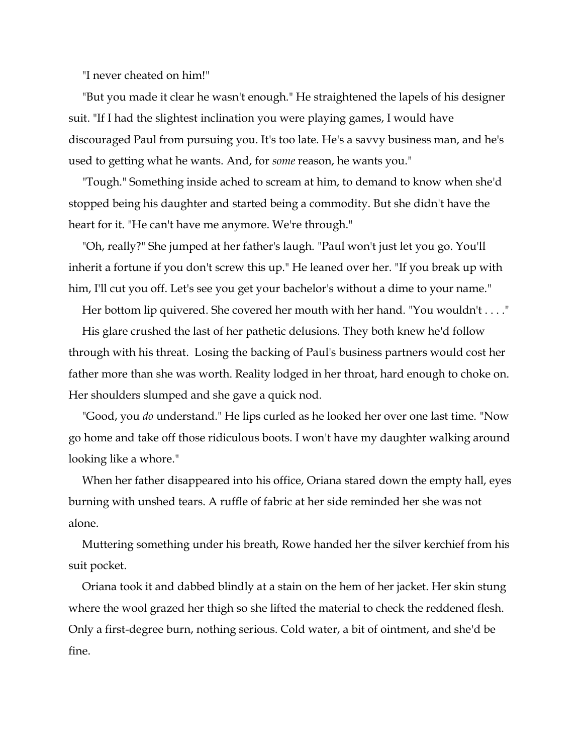"I never cheated on him!"

"But you made it clear he wasn't enough." He straightened the lapels of his designer suit. "If I had the slightest inclination you were playing games, I would have discouraged Paul from pursuing you. It's too late. He's a savvy business man, and he's used to getting what he wants. And, for *some* reason, he wants you."

"Tough." Something inside ached to scream at him, to demand to know when she'd stopped being his daughter and started being a commodity. But she didn't have the heart for it. "He can't have me anymore. We're through."

"Oh, really?" She jumped at her father's laugh. "Paul won't just let you go. You'll inherit a fortune if you don't screw this up." He leaned over her. "If you break up with him, I'll cut you off. Let's see you get your bachelor's without a dime to your name."

Her bottom lip quivered. She covered her mouth with her hand. "You wouldn't . . . ."

His glare crushed the last of her pathetic delusions. They both knew he'd follow through with his threat. Losing the backing of Paul's business partners would cost her father more than she was worth. Reality lodged in her throat, hard enough to choke on. Her shoulders slumped and she gave a quick nod.

"Good, you *do* understand." He lips curled as he looked her over one last time. "Now go home and take off those ridiculous boots. I won't have my daughter walking around looking like a whore."

When her father disappeared into his office, Oriana stared down the empty hall, eyes burning with unshed tears. A ruffle of fabric at her side reminded her she was not alone.

Muttering something under his breath, Rowe handed her the silver kerchief from his suit pocket.

Oriana took it and dabbed blindly at a stain on the hem of her jacket. Her skin stung where the wool grazed her thigh so she lifted the material to check the reddened flesh. Only a first-degree burn, nothing serious. Cold water, a bit of ointment, and she'd be fine.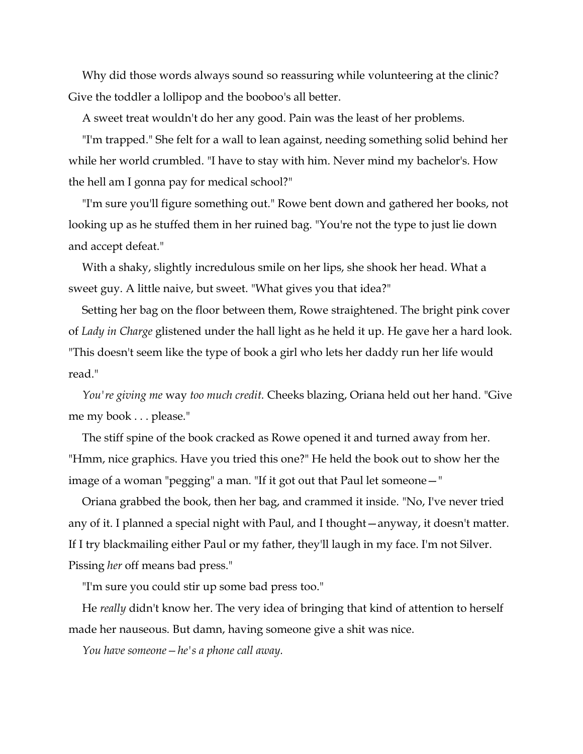Why did those words always sound so reassuring while volunteering at the clinic? Give the toddler a lollipop and the booboo's all better.

A sweet treat wouldn't do her any good. Pain was the least of her problems.

"I'm trapped." She felt for a wall to lean against, needing something solid behind her while her world crumbled. "I have to stay with him. Never mind my bachelor's. How the hell am I gonna pay for medical school?"

"I'm sure you'll figure something out." Rowe bent down and gathered her books, not looking up as he stuffed them in her ruined bag. "You're not the type to just lie down and accept defeat."

With a shaky, slightly incredulous smile on her lips, she shook her head. What a sweet guy. A little naive, but sweet. "What gives you that idea?"

Setting her bag on the floor between them, Rowe straightened. The bright pink cover of *Lady in Charge* glistened under the hall light as he held it up. He gave her a hard look. "This doesn't seem like the type of book a girl who lets her daddy run her life would read."

*You're giving me* way *too much credit.* Cheeks blazing, Oriana held out her hand. "Give me my book . . . please."

The stiff spine of the book cracked as Rowe opened it and turned away from her. "Hmm, nice graphics. Have you tried this one?" He held the book out to show her the image of a woman "pegging" a man. "If it got out that Paul let someone—"

Oriana grabbed the book, then her bag, and crammed it inside. "No, I've never tried any of it. I planned a special night with Paul, and I thought—anyway, it doesn't matter. If I try blackmailing either Paul or my father, they'll laugh in my face. I'm not Silver. Pissing *her* off means bad press."

"I'm sure you could stir up some bad press too."

He *really* didn't know her. The very idea of bringing that kind of attention to herself made her nauseous. But damn, having someone give a shit was nice.

*You have someone—he's a phone call away.*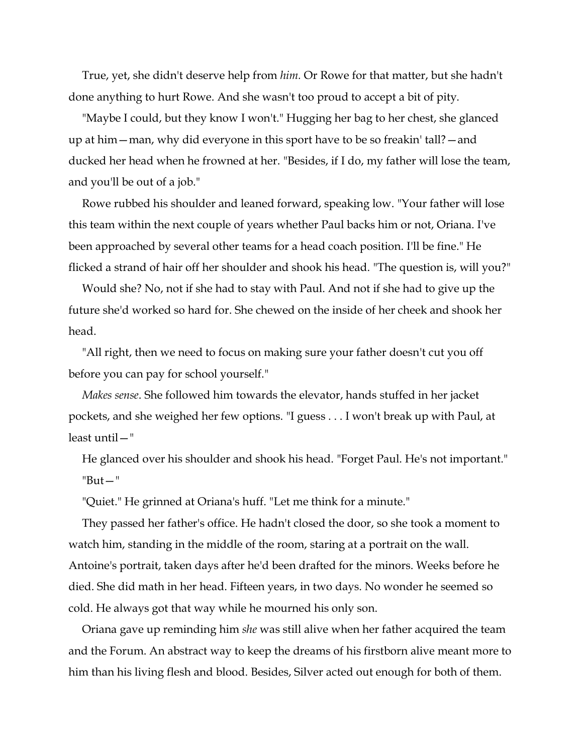True, yet, she didn't deserve help from *him.* Or Rowe for that matter, but she hadn't done anything to hurt Rowe. And she wasn't too proud to accept a bit of pity.

"Maybe I could, but they know I won't." Hugging her bag to her chest, she glanced up at him—man, why did everyone in this sport have to be so freakin' tall?—and ducked her head when he frowned at her. "Besides, if I do, my father will lose the team, and you'll be out of a job."

Rowe rubbed his shoulder and leaned forward, speaking low. "Your father will lose this team within the next couple of years whether Paul backs him or not, Oriana. I've been approached by several other teams for a head coach position. I'll be fine." He flicked a strand of hair off her shoulder and shook his head. "The question is, will you?"

Would she? No, not if she had to stay with Paul. And not if she had to give up the future she'd worked so hard for. She chewed on the inside of her cheek and shook her head.

"All right, then we need to focus on making sure your father doesn't cut you off before you can pay for school yourself."

*Makes sense*. She followed him towards the elevator, hands stuffed in her jacket pockets, and she weighed her few options. "I guess . . . I won't break up with Paul, at least until—"

He glanced over his shoulder and shook his head. "Forget Paul. He's not important." "But—"

"Quiet." He grinned at Oriana's huff. "Let me think for a minute."

They passed her father's office. He hadn't closed the door, so she took a moment to watch him, standing in the middle of the room, staring at a portrait on the wall. Antoine's portrait, taken days after he'd been drafted for the minors. Weeks before he died. She did math in her head. Fifteen years, in two days. No wonder he seemed so cold. He always got that way while he mourned his only son.

Oriana gave up reminding him *she* was still alive when her father acquired the team and the Forum. An abstract way to keep the dreams of his firstborn alive meant more to him than his living flesh and blood. Besides, Silver acted out enough for both of them.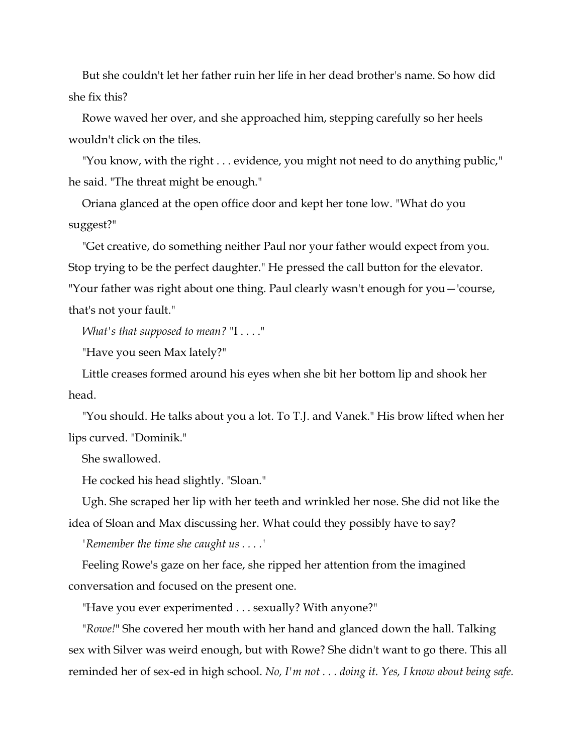But she couldn't let her father ruin her life in her dead brother's name. So how did she fix this?

Rowe waved her over, and she approached him, stepping carefully so her heels wouldn't click on the tiles.

"You know, with the right . . . evidence, you might not need to do anything public," he said. "The threat might be enough."

Oriana glanced at the open office door and kept her tone low. "What do you suggest?"

"Get creative, do something neither Paul nor your father would expect from you. Stop trying to be the perfect daughter." He pressed the call button for the elevator. "Your father was right about one thing. Paul clearly wasn't enough for you—'course, that's not your fault."

*What's that supposed to mean?* "I . . . ."

"Have you seen Max lately?"

Little creases formed around his eyes when she bit her bottom lip and shook her head.

"You should. He talks about you a lot. To T.J. and Vanek." His brow lifted when her lips curved. "Dominik."

She swallowed.

He cocked his head slightly. "Sloan."

Ugh. She scraped her lip with her teeth and wrinkled her nose. She did not like the

idea of Sloan and Max discussing her. What could they possibly have to say?

*'Remember the time she caught us . . . .'*

Feeling Rowe's gaze on her face, she ripped her attention from the imagined conversation and focused on the present one.

"Have you ever experimented . . . sexually? With anyone?"

"*Rowe!*" She covered her mouth with her hand and glanced down the hall. Talking sex with Silver was weird enough, but with Rowe? She didn't want to go there. This all reminded her of sex-ed in high school. *No, I'm not . . . doing it. Yes, I know about being safe.*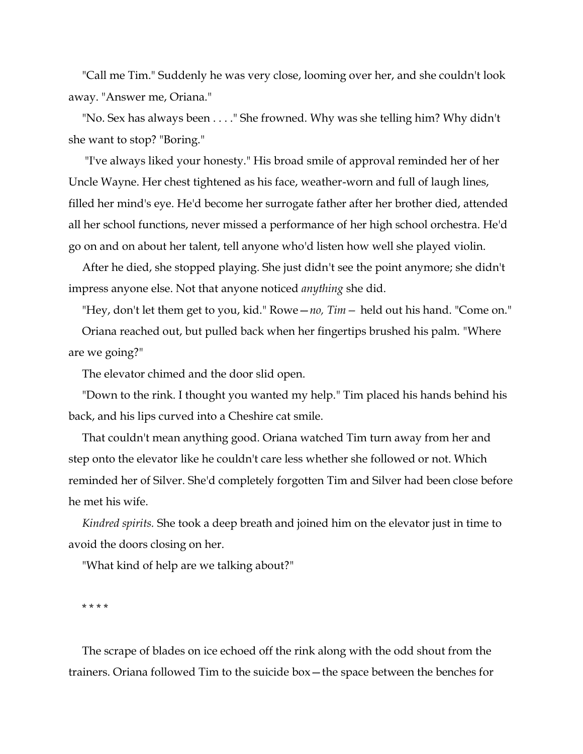"Call me Tim." Suddenly he was very close, looming over her, and she couldn't look away. "Answer me, Oriana."

"No. Sex has always been . . . ." She frowned. Why was she telling him? Why didn't she want to stop? "Boring."

"I've always liked your honesty." His broad smile of approval reminded her of her Uncle Wayne. Her chest tightened as his face, weather-worn and full of laugh lines, filled her mind's eye. He'd become her surrogate father after her brother died, attended all her school functions, never missed a performance of her high school orchestra. He'd go on and on about her talent, tell anyone who'd listen how well she played violin.

After he died, she stopped playing. She just didn't see the point anymore; she didn't impress anyone else. Not that anyone noticed *anything* she did.

"Hey, don't let them get to you, kid." Rowe—*no, Tim—* held out his hand. "Come on."

Oriana reached out, but pulled back when her fingertips brushed his palm. "Where are we going?"

The elevator chimed and the door slid open.

"Down to the rink. I thought you wanted my help." Tim placed his hands behind his back, and his lips curved into a Cheshire cat smile.

That couldn't mean anything good. Oriana watched Tim turn away from her and step onto the elevator like he couldn't care less whether she followed or not. Which reminded her of Silver. She'd completely forgotten Tim and Silver had been close before he met his wife.

*Kindred spirits.* She took a deep breath and joined him on the elevator just in time to avoid the doors closing on her.

"What kind of help are we talking about?"

\* \* \* \*

The scrape of blades on ice echoed off the rink along with the odd shout from the trainers. Oriana followed Tim to the suicide box—the space between the benches for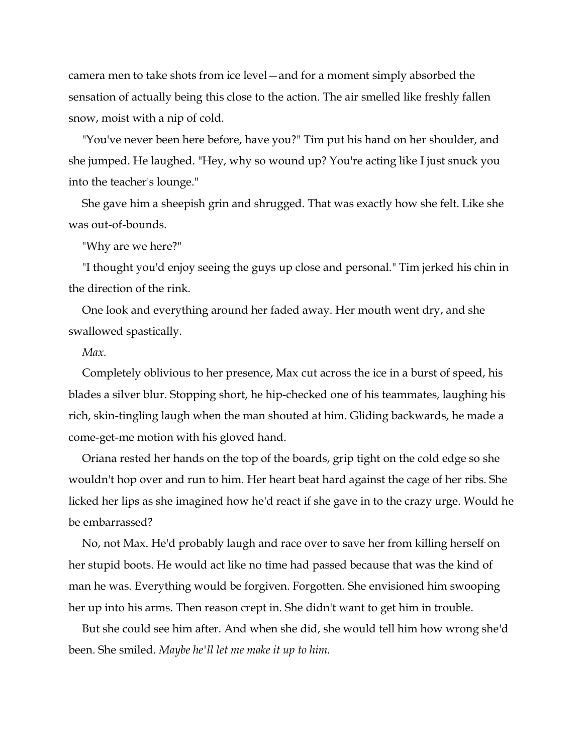camera men to take shots from ice level—and for a moment simply absorbed the sensation of actually being this close to the action. The air smelled like freshly fallen snow, moist with a nip of cold.

"You've never been here before, have you?" Tim put his hand on her shoulder, and she jumped. He laughed. "Hey, why so wound up? You're acting like I just snuck you into the teacher's lounge."

She gave him a sheepish grin and shrugged. That was exactly how she felt. Like she was out-of-bounds.

"Why are we here?"

"I thought you'd enjoy seeing the guys up close and personal." Tim jerked his chin in the direction of the rink.

One look and everything around her faded away. Her mouth went dry, and she swallowed spastically.

#### *Max.*

Completely oblivious to her presence, Max cut across the ice in a burst of speed, his blades a silver blur. Stopping short, he hip-checked one of his teammates, laughing his rich, skin-tingling laugh when the man shouted at him. Gliding backwards, he made a come-get-me motion with his gloved hand.

Oriana rested her hands on the top of the boards, grip tight on the cold edge so she wouldn't hop over and run to him. Her heart beat hard against the cage of her ribs. She licked her lips as she imagined how he'd react if she gave in to the crazy urge. Would he be embarrassed?

No, not Max. He'd probably laugh and race over to save her from killing herself on her stupid boots. He would act like no time had passed because that was the kind of man he was. Everything would be forgiven. Forgotten. She envisioned him swooping her up into his arms. Then reason crept in. She didn't want to get him in trouble.

But she could see him after. And when she did, she would tell him how wrong she'd been. She smiled. *Maybe he'll let me make it up to him.*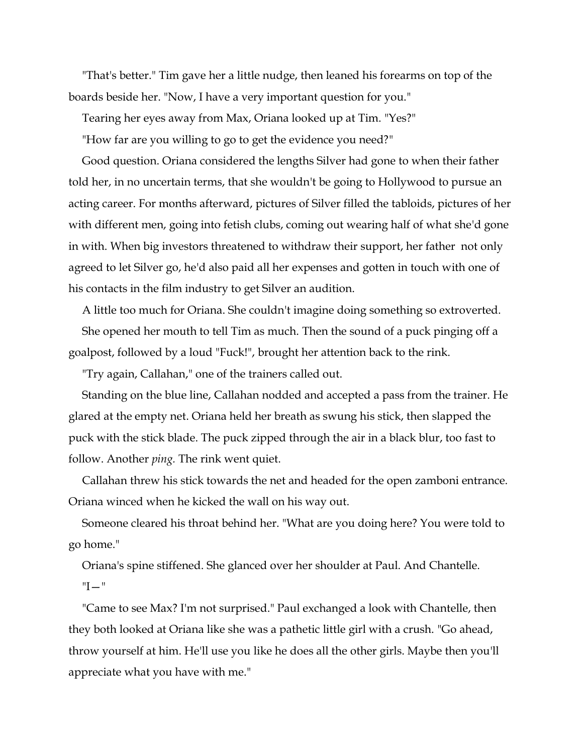"That's better." Tim gave her a little nudge, then leaned his forearms on top of the boards beside her. "Now, I have a very important question for you."

Tearing her eyes away from Max, Oriana looked up at Tim. "Yes?"

"How far are you willing to go to get the evidence you need?"

Good question. Oriana considered the lengths Silver had gone to when their father told her, in no uncertain terms, that she wouldn't be going to Hollywood to pursue an acting career. For months afterward, pictures of Silver filled the tabloids, pictures of her with different men, going into fetish clubs, coming out wearing half of what she'd gone in with. When big investors threatened to withdraw their support, her father not only agreed to let Silver go, he'd also paid all her expenses and gotten in touch with one of his contacts in the film industry to get Silver an audition.

A little too much for Oriana. She couldn't imagine doing something so extroverted. She opened her mouth to tell Tim as much. Then the sound of a puck pinging off a goalpost, followed by a loud "Fuck!", brought her attention back to the rink.

"Try again, Callahan," one of the trainers called out.

Standing on the blue line, Callahan nodded and accepted a pass from the trainer. He glared at the empty net. Oriana held her breath as swung his stick, then slapped the puck with the stick blade. The puck zipped through the air in a black blur, too fast to follow. Another *ping.* The rink went quiet.

Callahan threw his stick towards the net and headed for the open zamboni entrance. Oriana winced when he kicked the wall on his way out.

Someone cleared his throat behind her. "What are you doing here? You were told to go home."

Oriana's spine stiffened. She glanced over her shoulder at Paul. And Chantelle. "I—"

"Came to see Max? I'm not surprised." Paul exchanged a look with Chantelle, then they both looked at Oriana like she was a pathetic little girl with a crush. "Go ahead, throw yourself at him. He'll use you like he does all the other girls. Maybe then you'll appreciate what you have with me."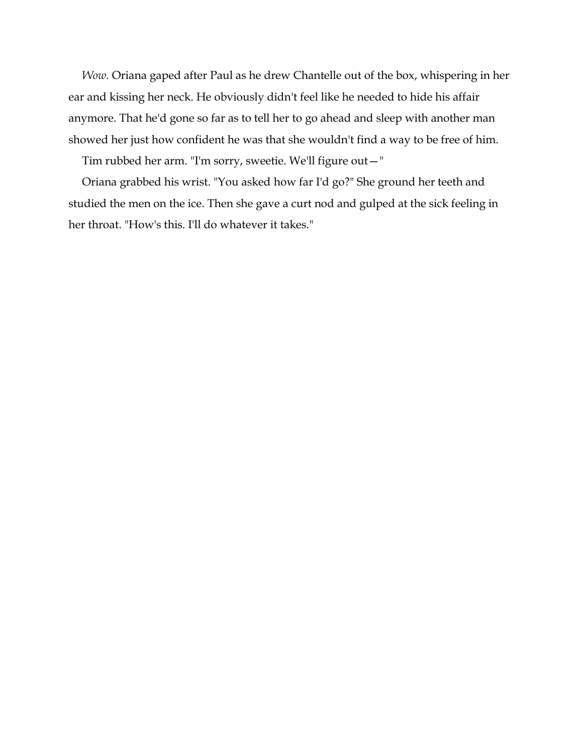*Wow.* Oriana gaped after Paul as he drew Chantelle out of the box, whispering in her ear and kissing her neck. He obviously didn't feel like he needed to hide his affair anymore. That he'd gone so far as to tell her to go ahead and sleep with another man showed her just how confident he was that she wouldn't find a way to be free of him.

Tim rubbed her arm. "I'm sorry, sweetie. We'll figure out—"

Oriana grabbed his wrist. "You asked how far I'd go?" She ground her teeth and studied the men on the ice. Then she gave a curt nod and gulped at the sick feeling in her throat. "How's this. I'll do whatever it takes."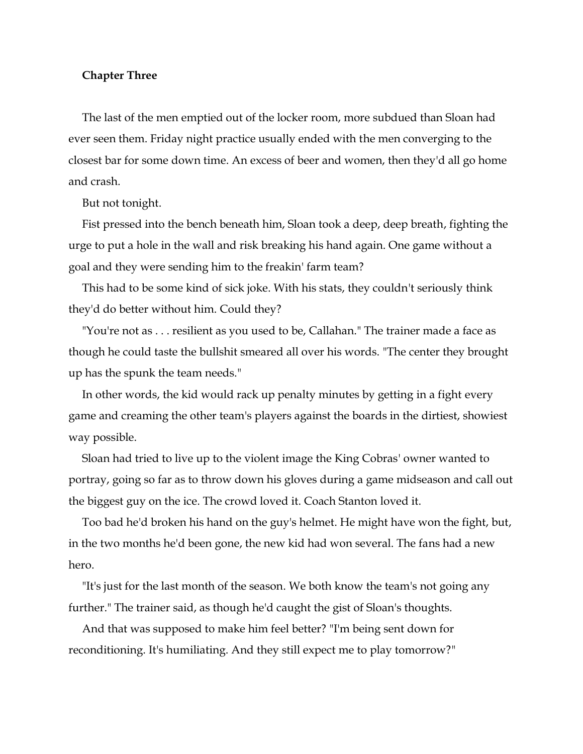#### **Chapter Three**

The last of the men emptied out of the locker room, more subdued than Sloan had ever seen them. Friday night practice usually ended with the men converging to the closest bar for some down time. An excess of beer and women, then they'd all go home and crash.

But not tonight.

Fist pressed into the bench beneath him, Sloan took a deep, deep breath, fighting the urge to put a hole in the wall and risk breaking his hand again. One game without a goal and they were sending him to the freakin' farm team?

This had to be some kind of sick joke. With his stats, they couldn't seriously think they'd do better without him. Could they?

"You're not as . . . resilient as you used to be, Callahan." The trainer made a face as though he could taste the bullshit smeared all over his words. "The center they brought up has the spunk the team needs."

In other words, the kid would rack up penalty minutes by getting in a fight every game and creaming the other team's players against the boards in the dirtiest, showiest way possible.

Sloan had tried to live up to the violent image the King Cobras' owner wanted to portray, going so far as to throw down his gloves during a game midseason and call out the biggest guy on the ice. The crowd loved it. Coach Stanton loved it.

Too bad he'd broken his hand on the guy's helmet. He might have won the fight, but, in the two months he'd been gone, the new kid had won several. The fans had a new hero.

"It's just for the last month of the season. We both know the team's not going any further." The trainer said, as though he'd caught the gist of Sloan's thoughts.

And that was supposed to make him feel better? "I'm being sent down for reconditioning. It's humiliating. And they still expect me to play tomorrow?"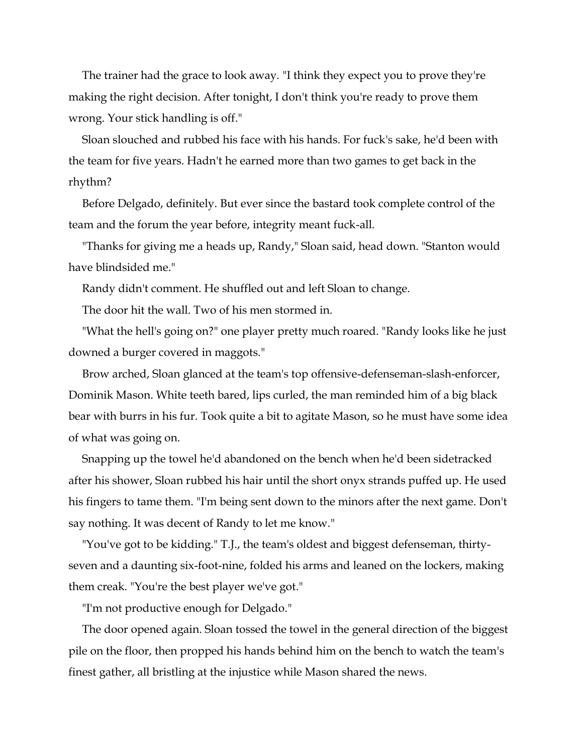The trainer had the grace to look away. "I think they expect you to prove they're making the right decision. After tonight, I don't think you're ready to prove them wrong. Your stick handling is off."

Sloan slouched and rubbed his face with his hands. For fuck's sake, he'd been with the team for five years. Hadn't he earned more than two games to get back in the rhythm?

Before Delgado, definitely. But ever since the bastard took complete control of the team and the forum the year before, integrity meant fuck-all.

"Thanks for giving me a heads up, Randy," Sloan said, head down. "Stanton would have blindsided me."

Randy didn't comment. He shuffled out and left Sloan to change.

The door hit the wall. Two of his men stormed in.

"What the hell's going on?" one player pretty much roared. "Randy looks like he just downed a burger covered in maggots."

Brow arched, Sloan glanced at the team's top offensive-defenseman-slash-enforcer, Dominik Mason. White teeth bared, lips curled, the man reminded him of a big black bear with burrs in his fur. Took quite a bit to agitate Mason, so he must have some idea of what was going on.

Snapping up the towel he'd abandoned on the bench when he'd been sidetracked after his shower, Sloan rubbed his hair until the short onyx strands puffed up. He used his fingers to tame them. "I'm being sent down to the minors after the next game. Don't say nothing. It was decent of Randy to let me know."

"You've got to be kidding." T.J., the team's oldest and biggest defenseman, thirtyseven and a daunting six-foot-nine, folded his arms and leaned on the lockers, making them creak. "You're the best player we've got."

"I'm not productive enough for Delgado."

The door opened again. Sloan tossed the towel in the general direction of the biggest pile on the floor, then propped his hands behind him on the bench to watch the team's finest gather, all bristling at the injustice while Mason shared the news.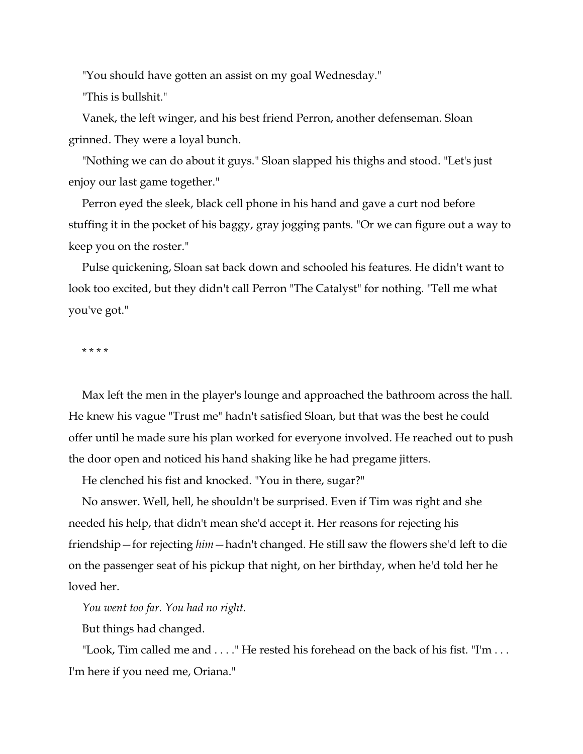"You should have gotten an assist on my goal Wednesday."

"This is bullshit."

Vanek, the left winger, and his best friend Perron, another defenseman. Sloan grinned. They were a loyal bunch.

"Nothing we can do about it guys." Sloan slapped his thighs and stood. "Let's just enjoy our last game together."

Perron eyed the sleek, black cell phone in his hand and gave a curt nod before stuffing it in the pocket of his baggy, gray jogging pants. "Or we can figure out a way to keep you on the roster."

Pulse quickening, Sloan sat back down and schooled his features. He didn't want to look too excited, but they didn't call Perron "The Catalyst" for nothing. "Tell me what you've got."

\* \* \* \*

Max left the men in the player's lounge and approached the bathroom across the hall. He knew his vague "Trust me" hadn't satisfied Sloan, but that was the best he could offer until he made sure his plan worked for everyone involved. He reached out to push the door open and noticed his hand shaking like he had pregame jitters.

He clenched his fist and knocked. "You in there, sugar?"

No answer. Well, hell, he shouldn't be surprised. Even if Tim was right and she needed his help, that didn't mean she'd accept it. Her reasons for rejecting his friendship—for rejecting *him*—hadn't changed. He still saw the flowers she'd left to die on the passenger seat of his pickup that night, on her birthday, when he'd told her he loved her.

*You went too far. You had no right.*

But things had changed.

"Look, Tim called me and . . . ." He rested his forehead on the back of his fist. "I'm . . . I'm here if you need me, Oriana."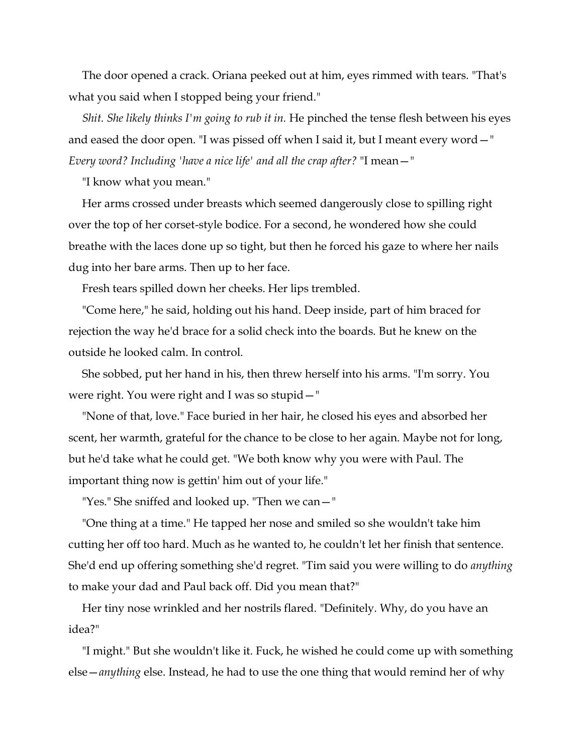The door opened a crack. Oriana peeked out at him, eyes rimmed with tears. "That's what you said when I stopped being your friend."

*Shit. She likely thinks I'm going to rub it in.* He pinched the tense flesh between his eyes and eased the door open. "I was pissed off when I said it, but I meant every word—" *Every word? Including 'have a nice life' and all the crap after?* "I mean—"

"I know what you mean."

Her arms crossed under breasts which seemed dangerously close to spilling right over the top of her corset-style bodice. For a second, he wondered how she could breathe with the laces done up so tight, but then he forced his gaze to where her nails dug into her bare arms. Then up to her face.

Fresh tears spilled down her cheeks. Her lips trembled.

"Come here," he said, holding out his hand. Deep inside, part of him braced for rejection the way he'd brace for a solid check into the boards. But he knew on the outside he looked calm. In control.

She sobbed, put her hand in his, then threw herself into his arms. "I'm sorry. You were right. You were right and I was so stupid—"

"None of that, love." Face buried in her hair, he closed his eyes and absorbed her scent, her warmth, grateful for the chance to be close to her again. Maybe not for long, but he'd take what he could get. "We both know why you were with Paul. The important thing now is gettin' him out of your life."

"Yes." She sniffed and looked up. "Then we can—"

"One thing at a time." He tapped her nose and smiled so she wouldn't take him cutting her off too hard. Much as he wanted to, he couldn't let her finish that sentence. She'd end up offering something she'd regret. "Tim said you were willing to do *anything*  to make your dad and Paul back off. Did you mean that?"

Her tiny nose wrinkled and her nostrils flared. "Definitely. Why, do you have an idea?"

"I might." But she wouldn't like it. Fuck, he wished he could come up with something else—*anything* else. Instead, he had to use the one thing that would remind her of why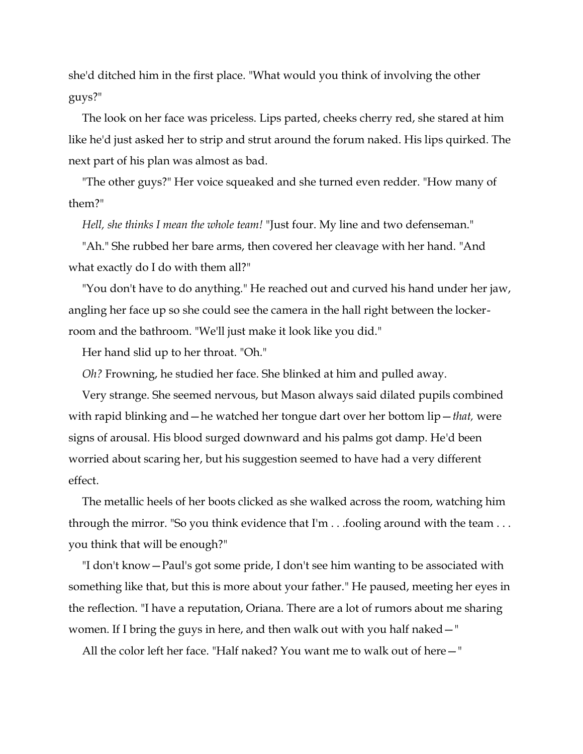she'd ditched him in the first place. "What would you think of involving the other guys?"

The look on her face was priceless. Lips parted, cheeks cherry red, she stared at him like he'd just asked her to strip and strut around the forum naked. His lips quirked. The next part of his plan was almost as bad.

"The other guys?" Her voice squeaked and she turned even redder. "How many of them?"

*Hell, she thinks I mean the whole team!* "Just four. My line and two defenseman."

"Ah." She rubbed her bare arms, then covered her cleavage with her hand. "And what exactly do I do with them all?"

"You don't have to do anything." He reached out and curved his hand under her jaw, angling her face up so she could see the camera in the hall right between the lockerroom and the bathroom. "We'll just make it look like you did."

Her hand slid up to her throat. "Oh."

*Oh?* Frowning, he studied her face. She blinked at him and pulled away.

Very strange. She seemed nervous, but Mason always said dilated pupils combined with rapid blinking and—he watched her tongue dart over her bottom lip—*that,* were signs of arousal. His blood surged downward and his palms got damp. He'd been worried about scaring her, but his suggestion seemed to have had a very different effect.

The metallic heels of her boots clicked as she walked across the room, watching him through the mirror. "So you think evidence that I'm . . .fooling around with the team . . . you think that will be enough?"

"I don't know—Paul's got some pride, I don't see him wanting to be associated with something like that, but this is more about your father." He paused, meeting her eyes in the reflection. "I have a reputation, Oriana. There are a lot of rumors about me sharing women. If I bring the guys in here, and then walk out with you half naked—"

All the color left her face. "Half naked? You want me to walk out of here—"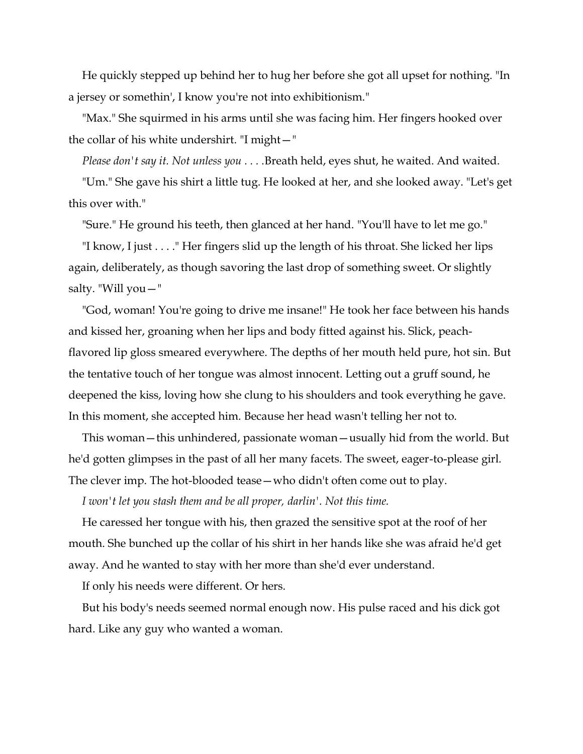He quickly stepped up behind her to hug her before she got all upset for nothing. "In a jersey or somethin', I know you're not into exhibitionism."

"Max." She squirmed in his arms until she was facing him. Her fingers hooked over the collar of his white undershirt. "I might—"

*Please don't say it. Not unless you . . . .*Breath held, eyes shut, he waited. And waited.

"Um." She gave his shirt a little tug. He looked at her, and she looked away. "Let's get this over with."

"Sure." He ground his teeth, then glanced at her hand. "You'll have to let me go."

"I know, I just . . . ." Her fingers slid up the length of his throat. She licked her lips again, deliberately, as though savoring the last drop of something sweet. Or slightly salty. "Will you—"

"God, woman! You're going to drive me insane!" He took her face between his hands and kissed her, groaning when her lips and body fitted against his. Slick, peachflavored lip gloss smeared everywhere. The depths of her mouth held pure, hot sin. But the tentative touch of her tongue was almost innocent. Letting out a gruff sound, he deepened the kiss, loving how she clung to his shoulders and took everything he gave. In this moment, she accepted him. Because her head wasn't telling her not to.

This woman—this unhindered, passionate woman—usually hid from the world. But he'd gotten glimpses in the past of all her many facets. The sweet, eager-to-please girl. The clever imp. The hot-blooded tease—who didn't often come out to play.

*I won't let you stash them and be all proper, darlin'. Not this time.*

He caressed her tongue with his, then grazed the sensitive spot at the roof of her mouth. She bunched up the collar of his shirt in her hands like she was afraid he'd get away. And he wanted to stay with her more than she'd ever understand.

If only his needs were different. Or hers.

But his body's needs seemed normal enough now. His pulse raced and his dick got hard. Like any guy who wanted a woman.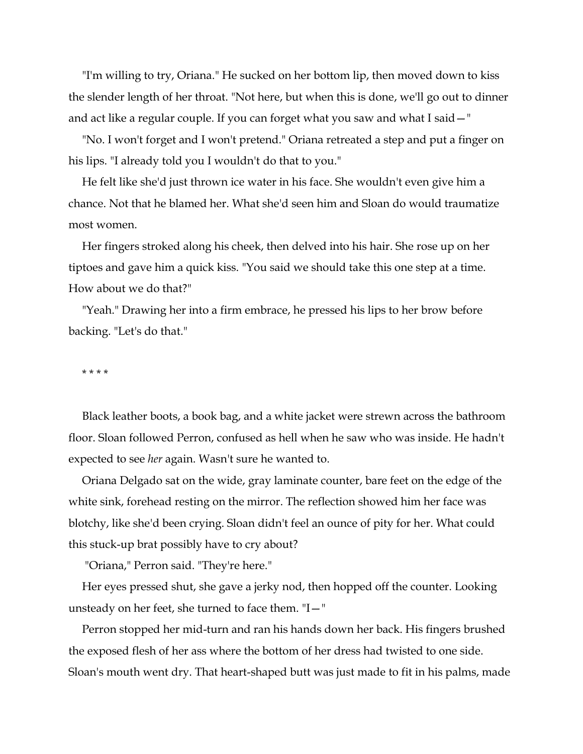"I'm willing to try, Oriana." He sucked on her bottom lip, then moved down to kiss the slender length of her throat. "Not here, but when this is done, we'll go out to dinner and act like a regular couple. If you can forget what you saw and what I said—"

"No. I won't forget and I won't pretend." Oriana retreated a step and put a finger on his lips. "I already told you I wouldn't do that to you."

He felt like she'd just thrown ice water in his face. She wouldn't even give him a chance. Not that he blamed her. What she'd seen him and Sloan do would traumatize most women.

Her fingers stroked along his cheek, then delved into his hair. She rose up on her tiptoes and gave him a quick kiss. "You said we should take this one step at a time. How about we do that?"

"Yeah." Drawing her into a firm embrace, he pressed his lips to her brow before backing. "Let's do that."

\* \* \* \*

Black leather boots, a book bag, and a white jacket were strewn across the bathroom floor. Sloan followed Perron, confused as hell when he saw who was inside. He hadn't expected to see *her* again. Wasn't sure he wanted to.

Oriana Delgado sat on the wide, gray laminate counter, bare feet on the edge of the white sink, forehead resting on the mirror. The reflection showed him her face was blotchy, like she'd been crying. Sloan didn't feel an ounce of pity for her. What could this stuck-up brat possibly have to cry about?

"Oriana," Perron said. "They're here."

Her eyes pressed shut, she gave a jerky nod, then hopped off the counter. Looking unsteady on her feet, she turned to face them. "I—"

Perron stopped her mid-turn and ran his hands down her back. His fingers brushed the exposed flesh of her ass where the bottom of her dress had twisted to one side. Sloan's mouth went dry. That heart-shaped butt was just made to fit in his palms, made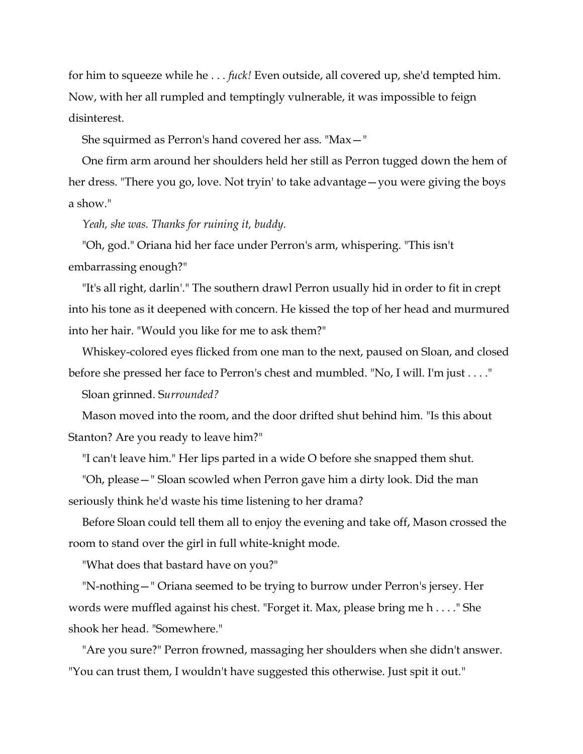for him to squeeze while he . . . *fuck!* Even outside, all covered up, she'd tempted him. Now, with her all rumpled and temptingly vulnerable, it was impossible to feign disinterest.

She squirmed as Perron's hand covered her ass. "Max—"

One firm arm around her shoulders held her still as Perron tugged down the hem of her dress. "There you go, love. Not tryin' to take advantage—you were giving the boys a show."

*Yeah, she was. Thanks for ruining it, buddy.*

"Oh, god." Oriana hid her face under Perron's arm, whispering. "This isn't embarrassing enough?"

"It's all right, darlin'." The southern drawl Perron usually hid in order to fit in crept into his tone as it deepened with concern. He kissed the top of her head and murmured into her hair. "Would you like for me to ask them?"

Whiskey-colored eyes flicked from one man to the next, paused on Sloan, and closed before she pressed her face to Perron's chest and mumbled. "No, I will. I'm just . . . ."

Sloan grinned. S*urrounded?*

Mason moved into the room, and the door drifted shut behind him. "Is this about Stanton? Are you ready to leave him?"

"I can't leave him." Her lips parted in a wide O before she snapped them shut.

"Oh, please—" Sloan scowled when Perron gave him a dirty look. Did the man seriously think he'd waste his time listening to her drama?

Before Sloan could tell them all to enjoy the evening and take off, Mason crossed the room to stand over the girl in full white-knight mode.

"What does that bastard have on you?"

"N-nothing—" Oriana seemed to be trying to burrow under Perron's jersey. Her words were muffled against his chest. "Forget it. Max, please bring me h . . . ." She shook her head. "Somewhere."

"Are you sure?" Perron frowned, massaging her shoulders when she didn't answer. "You can trust them, I wouldn't have suggested this otherwise. Just spit it out."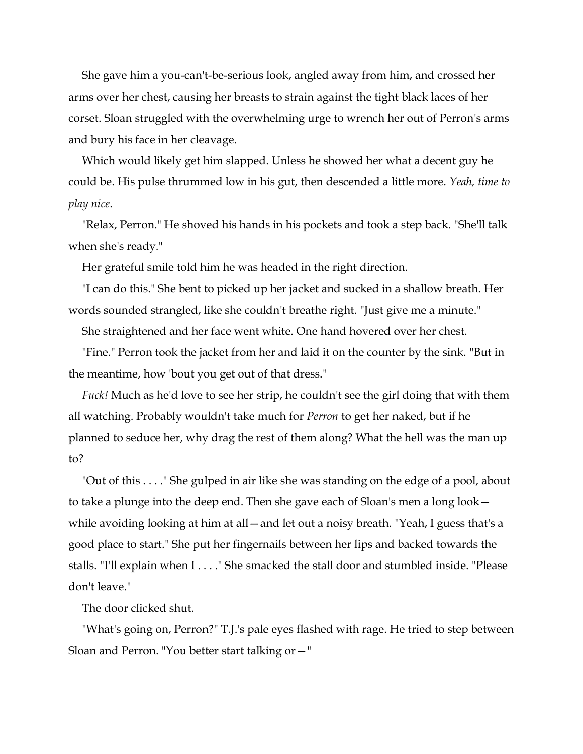She gave him a you-can't-be-serious look, angled away from him, and crossed her arms over her chest, causing her breasts to strain against the tight black laces of her corset. Sloan struggled with the overwhelming urge to wrench her out of Perron's arms and bury his face in her cleavage.

Which would likely get him slapped. Unless he showed her what a decent guy he could be. His pulse thrummed low in his gut, then descended a little more. *Yeah, time to play nice*.

"Relax, Perron." He shoved his hands in his pockets and took a step back. "She'll talk when she's ready."

Her grateful smile told him he was headed in the right direction.

"I can do this." She bent to picked up her jacket and sucked in a shallow breath. Her words sounded strangled, like she couldn't breathe right. "Just give me a minute."

She straightened and her face went white. One hand hovered over her chest.

"Fine." Perron took the jacket from her and laid it on the counter by the sink. "But in the meantime, how 'bout you get out of that dress."

*Fuck!* Much as he'd love to see her strip, he couldn't see the girl doing that with them all watching. Probably wouldn't take much for *Perron* to get her naked, but if he planned to seduce her, why drag the rest of them along? What the hell was the man up to?

"Out of this . . . ." She gulped in air like she was standing on the edge of a pool, about to take a plunge into the deep end. Then she gave each of Sloan's men a long look while avoiding looking at him at all—and let out a noisy breath. "Yeah, I guess that's a good place to start." She put her fingernails between her lips and backed towards the stalls. "I'll explain when I . . . ." She smacked the stall door and stumbled inside. "Please don't leave."

The door clicked shut.

"What's going on, Perron?" T.J.'s pale eyes flashed with rage. He tried to step between Sloan and Perron. "You better start talking or—"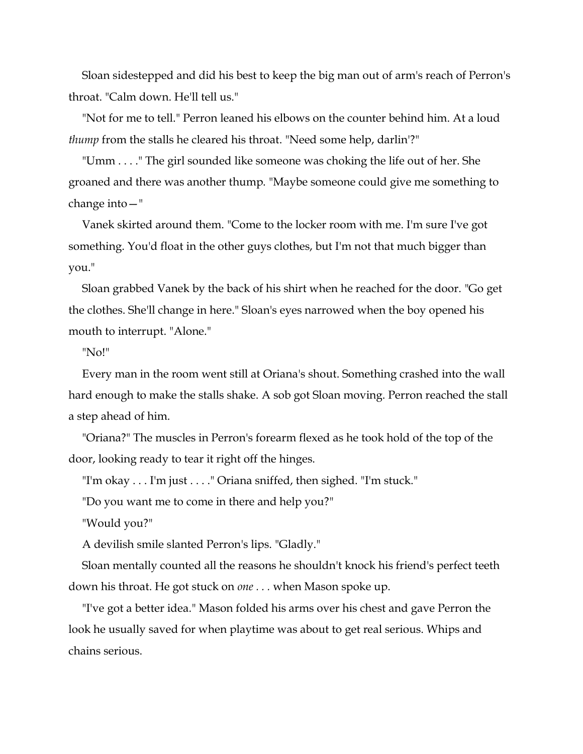Sloan sidestepped and did his best to keep the big man out of arm's reach of Perron's throat. "Calm down. He'll tell us."

"Not for me to tell." Perron leaned his elbows on the counter behind him. At a loud *thump* from the stalls he cleared his throat. "Need some help, darlin'?"

"Umm . . . ." The girl sounded like someone was choking the life out of her. She groaned and there was another thump. "Maybe someone could give me something to change into—"

Vanek skirted around them. "Come to the locker room with me. I'm sure I've got something. You'd float in the other guys clothes, but I'm not that much bigger than you."

Sloan grabbed Vanek by the back of his shirt when he reached for the door. "Go get the clothes. She'll change in here." Sloan's eyes narrowed when the boy opened his mouth to interrupt. "Alone."

"No!"

Every man in the room went still at Oriana's shout. Something crashed into the wall hard enough to make the stalls shake. A sob got Sloan moving. Perron reached the stall a step ahead of him.

"Oriana?" The muscles in Perron's forearm flexed as he took hold of the top of the door, looking ready to tear it right off the hinges.

"I'm okay . . . I'm just . . . ." Oriana sniffed, then sighed. "I'm stuck."

"Do you want me to come in there and help you?"

"Would you?"

A devilish smile slanted Perron's lips. "Gladly."

Sloan mentally counted all the reasons he shouldn't knock his friend's perfect teeth down his throat. He got stuck on *one . . .* when Mason spoke up.

"I've got a better idea." Mason folded his arms over his chest and gave Perron the look he usually saved for when playtime was about to get real serious. Whips and chains serious.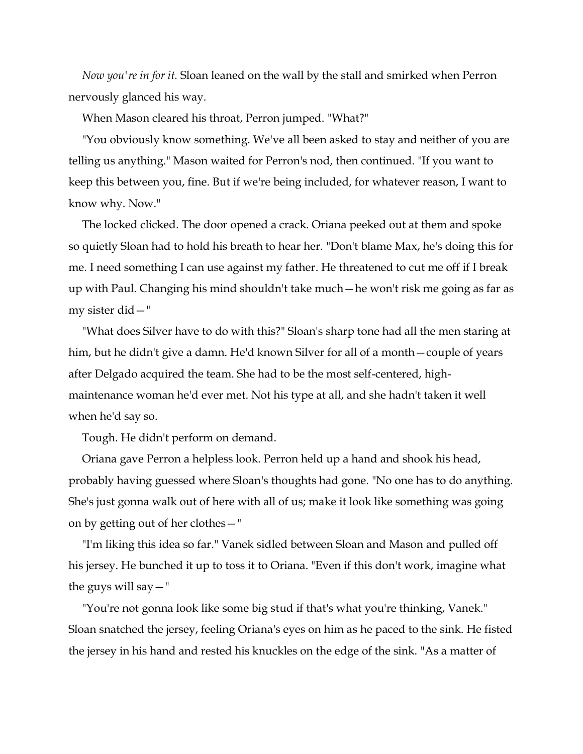*Now you're in for it.* Sloan leaned on the wall by the stall and smirked when Perron nervously glanced his way.

When Mason cleared his throat, Perron jumped. "What?"

"You obviously know something. We've all been asked to stay and neither of you are telling us anything." Mason waited for Perron's nod, then continued. "If you want to keep this between you, fine. But if we're being included, for whatever reason, I want to know why. Now."

The locked clicked. The door opened a crack. Oriana peeked out at them and spoke so quietly Sloan had to hold his breath to hear her. "Don't blame Max, he's doing this for me. I need something I can use against my father. He threatened to cut me off if I break up with Paul. Changing his mind shouldn't take much—he won't risk me going as far as my sister did—"

"What does Silver have to do with this?" Sloan's sharp tone had all the men staring at him, but he didn't give a damn. He'd known Silver for all of a month—couple of years after Delgado acquired the team. She had to be the most self-centered, highmaintenance woman he'd ever met. Not his type at all, and she hadn't taken it well when he'd say so.

Tough. He didn't perform on demand.

Oriana gave Perron a helpless look. Perron held up a hand and shook his head, probably having guessed where Sloan's thoughts had gone. "No one has to do anything. She's just gonna walk out of here with all of us; make it look like something was going on by getting out of her clothes—"

"I'm liking this idea so far." Vanek sidled between Sloan and Mason and pulled off his jersey. He bunched it up to toss it to Oriana. "Even if this don't work, imagine what the guys will say—"

"You're not gonna look like some big stud if that's what you're thinking, Vanek." Sloan snatched the jersey, feeling Oriana's eyes on him as he paced to the sink. He fisted the jersey in his hand and rested his knuckles on the edge of the sink. "As a matter of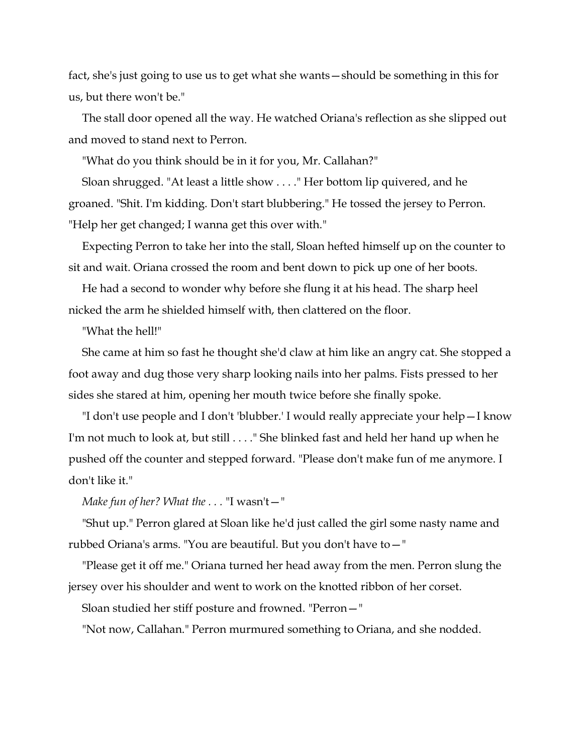fact, she's just going to use us to get what she wants—should be something in this for us, but there won't be."

The stall door opened all the way. He watched Oriana's reflection as she slipped out and moved to stand next to Perron.

"What do you think should be in it for you, Mr. Callahan?"

Sloan shrugged. "At least a little show . . . ." Her bottom lip quivered, and he groaned. "Shit. I'm kidding. Don't start blubbering." He tossed the jersey to Perron. "Help her get changed; I wanna get this over with."

Expecting Perron to take her into the stall, Sloan hefted himself up on the counter to sit and wait. Oriana crossed the room and bent down to pick up one of her boots.

He had a second to wonder why before she flung it at his head. The sharp heel nicked the arm he shielded himself with, then clattered on the floor.

"What the hell!"

She came at him so fast he thought she'd claw at him like an angry cat. She stopped a foot away and dug those very sharp looking nails into her palms. Fists pressed to her sides she stared at him, opening her mouth twice before she finally spoke.

"I don't use people and I don't 'blubber.' I would really appreciate your help—I know I'm not much to look at, but still . . . ." She blinked fast and held her hand up when he pushed off the counter and stepped forward. "Please don't make fun of me anymore. I don't like it."

*Make fun of her? What the . . .* "I wasn't—"

"Shut up." Perron glared at Sloan like he'd just called the girl some nasty name and rubbed Oriana's arms. "You are beautiful. But you don't have to—"

"Please get it off me." Oriana turned her head away from the men. Perron slung the jersey over his shoulder and went to work on the knotted ribbon of her corset.

Sloan studied her stiff posture and frowned. "Perron—"

"Not now, Callahan." Perron murmured something to Oriana, and she nodded.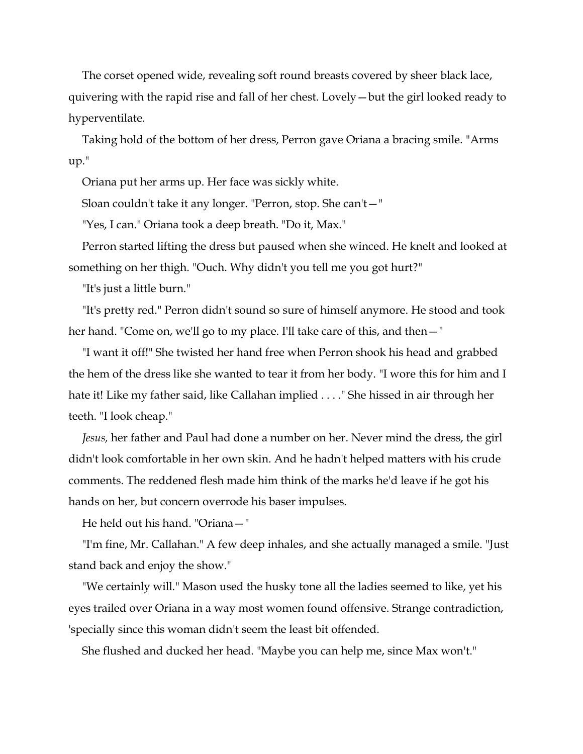The corset opened wide, revealing soft round breasts covered by sheer black lace, quivering with the rapid rise and fall of her chest. Lovely—but the girl looked ready to hyperventilate.

Taking hold of the bottom of her dress, Perron gave Oriana a bracing smile. "Arms up."

Oriana put her arms up. Her face was sickly white.

Sloan couldn't take it any longer. "Perron, stop. She can't—"

"Yes, I can." Oriana took a deep breath. "Do it, Max."

Perron started lifting the dress but paused when she winced. He knelt and looked at something on her thigh. "Ouch. Why didn't you tell me you got hurt?"

"It's just a little burn."

"It's pretty red." Perron didn't sound so sure of himself anymore. He stood and took her hand. "Come on, we'll go to my place. I'll take care of this, and then – "

"I want it off!" She twisted her hand free when Perron shook his head and grabbed the hem of the dress like she wanted to tear it from her body. "I wore this for him and I hate it! Like my father said, like Callahan implied . . . ." She hissed in air through her teeth. "I look cheap."

*Jesus,* her father and Paul had done a number on her. Never mind the dress, the girl didn't look comfortable in her own skin. And he hadn't helped matters with his crude comments. The reddened flesh made him think of the marks he'd leave if he got his hands on her, but concern overrode his baser impulses.

He held out his hand. "Oriana—"

"I'm fine, Mr. Callahan." A few deep inhales, and she actually managed a smile. "Just stand back and enjoy the show."

"We certainly will." Mason used the husky tone all the ladies seemed to like, yet his eyes trailed over Oriana in a way most women found offensive. Strange contradiction, 'specially since this woman didn't seem the least bit offended.

She flushed and ducked her head. "Maybe you can help me, since Max won't."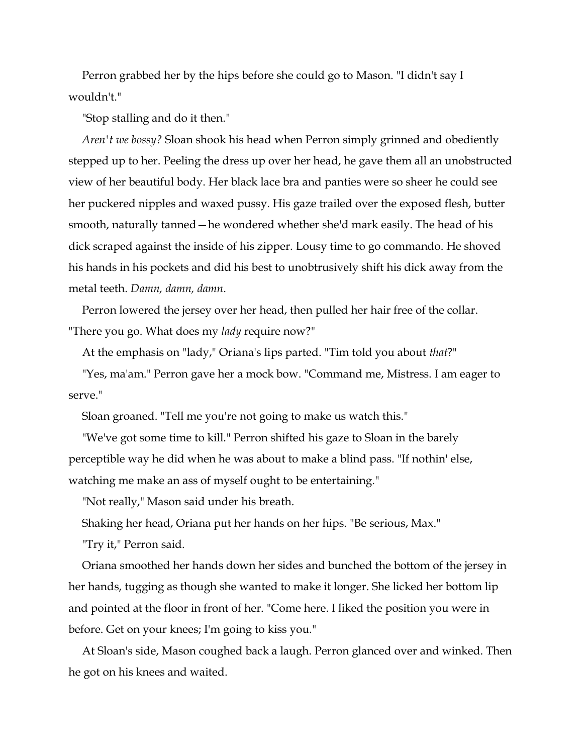Perron grabbed her by the hips before she could go to Mason. "I didn't say I wouldn't."

"Stop stalling and do it then."

*Aren't we bossy?* Sloan shook his head when Perron simply grinned and obediently stepped up to her. Peeling the dress up over her head, he gave them all an unobstructed view of her beautiful body. Her black lace bra and panties were so sheer he could see her puckered nipples and waxed pussy. His gaze trailed over the exposed flesh, butter smooth, naturally tanned—he wondered whether she'd mark easily. The head of his dick scraped against the inside of his zipper. Lousy time to go commando. He shoved his hands in his pockets and did his best to unobtrusively shift his dick away from the metal teeth. *Damn, damn, damn*.

Perron lowered the jersey over her head, then pulled her hair free of the collar. "There you go. What does my *lady* require now?"

At the emphasis on "lady," Oriana's lips parted. "Tim told you about *that*?"

"Yes, ma'am." Perron gave her a mock bow. "Command me, Mistress. I am eager to serve."

Sloan groaned. "Tell me you're not going to make us watch this."

"We've got some time to kill." Perron shifted his gaze to Sloan in the barely perceptible way he did when he was about to make a blind pass. "If nothin' else, watching me make an ass of myself ought to be entertaining."

"Not really," Mason said under his breath.

Shaking her head, Oriana put her hands on her hips. "Be serious, Max."

"Try it," Perron said.

Oriana smoothed her hands down her sides and bunched the bottom of the jersey in her hands, tugging as though she wanted to make it longer. She licked her bottom lip and pointed at the floor in front of her. "Come here. I liked the position you were in before. Get on your knees; I'm going to kiss you."

At Sloan's side, Mason coughed back a laugh. Perron glanced over and winked. Then he got on his knees and waited.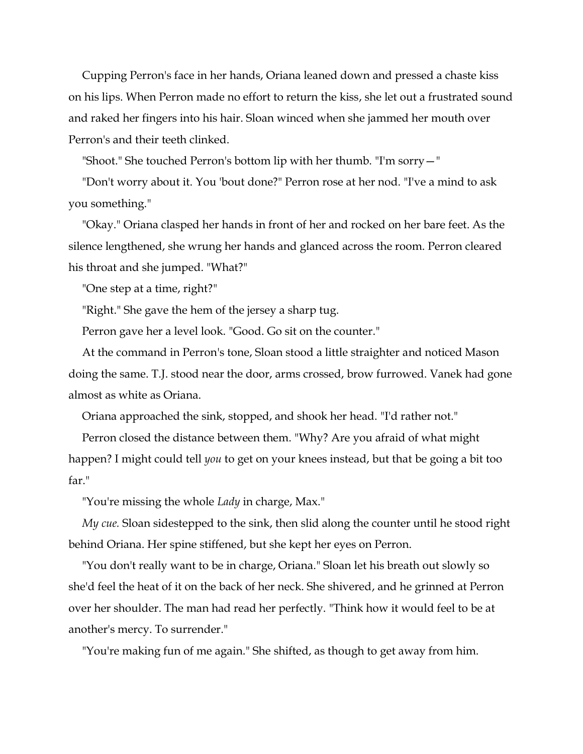Cupping Perron's face in her hands, Oriana leaned down and pressed a chaste kiss on his lips. When Perron made no effort to return the kiss, she let out a frustrated sound and raked her fingers into his hair. Sloan winced when she jammed her mouth over Perron's and their teeth clinked.

"Shoot." She touched Perron's bottom lip with her thumb. "I'm sorry—"

"Don't worry about it. You 'bout done?" Perron rose at her nod. "I've a mind to ask you something."

"Okay." Oriana clasped her hands in front of her and rocked on her bare feet. As the silence lengthened, she wrung her hands and glanced across the room. Perron cleared his throat and she jumped. "What?"

"One step at a time, right?"

"Right." She gave the hem of the jersey a sharp tug.

Perron gave her a level look. "Good. Go sit on the counter."

At the command in Perron's tone, Sloan stood a little straighter and noticed Mason doing the same. T.J. stood near the door, arms crossed, brow furrowed. Vanek had gone almost as white as Oriana.

Oriana approached the sink, stopped, and shook her head. "I'd rather not."

Perron closed the distance between them. "Why? Are you afraid of what might happen? I might could tell *you* to get on your knees instead, but that be going a bit too far."

"You're missing the whole *Lady* in charge, Max."

*My cue.* Sloan sidestepped to the sink, then slid along the counter until he stood right behind Oriana. Her spine stiffened, but she kept her eyes on Perron.

"You don't really want to be in charge, Oriana." Sloan let his breath out slowly so she'd feel the heat of it on the back of her neck. She shivered, and he grinned at Perron over her shoulder. The man had read her perfectly. "Think how it would feel to be at another's mercy. To surrender."

"You're making fun of me again." She shifted, as though to get away from him.